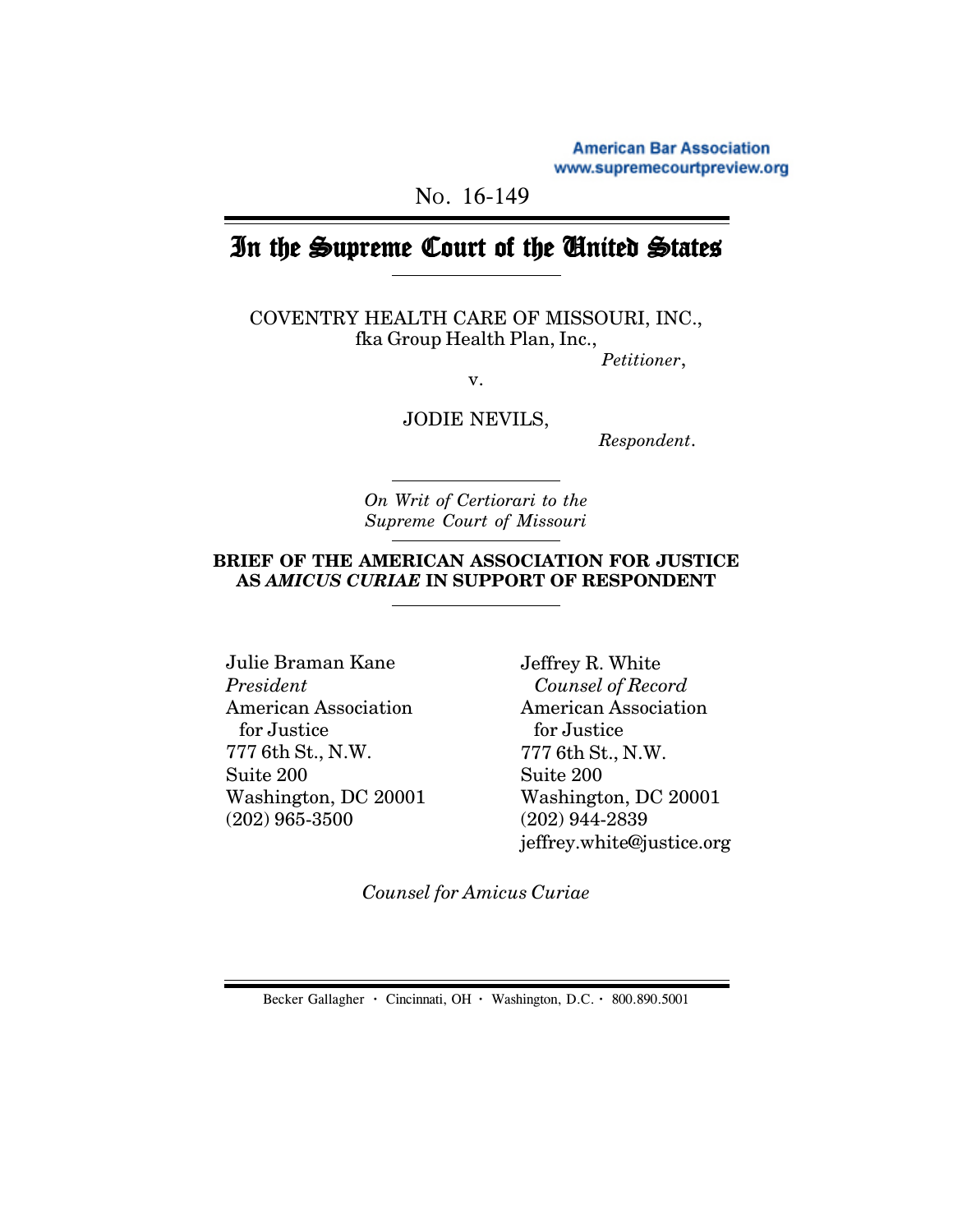**American Bar Association** www.supremecourtpreview.org

NO. 16-149

# In the Supreme Court of the United States

COVENTRY HEALTH CARE OF MISSOURI, INC., fka Group Health Plan, Inc.,

*Petitioner*,

v.

JODIE NEVILS,

 *Respondent*.

*On Writ of Certiorari to the Supreme Court of Missouri*

# **BRIEF OF THE AMERICAN ASSOCIATION FOR JUSTICE AS** *AMICUS CURIAE* **IN SUPPORT OF RESPONDENT**

Julie Braman Kane *President* American Association for Justice 777 6th St., N.W. Suite 200 Washington, DC 20001 (202) 965-3500

Jeffrey R. White  *Counsel of Record* American Association for Justice 777 6th St., N.W. Suite 200 Washington, DC 20001 (202) 944-2839 jeffrey.white@justice.org

*Counsel for Amicus Curiae*

Becker Gallagher **·** Cincinnati, OH **·** Washington, D.C. **·** 800.890.5001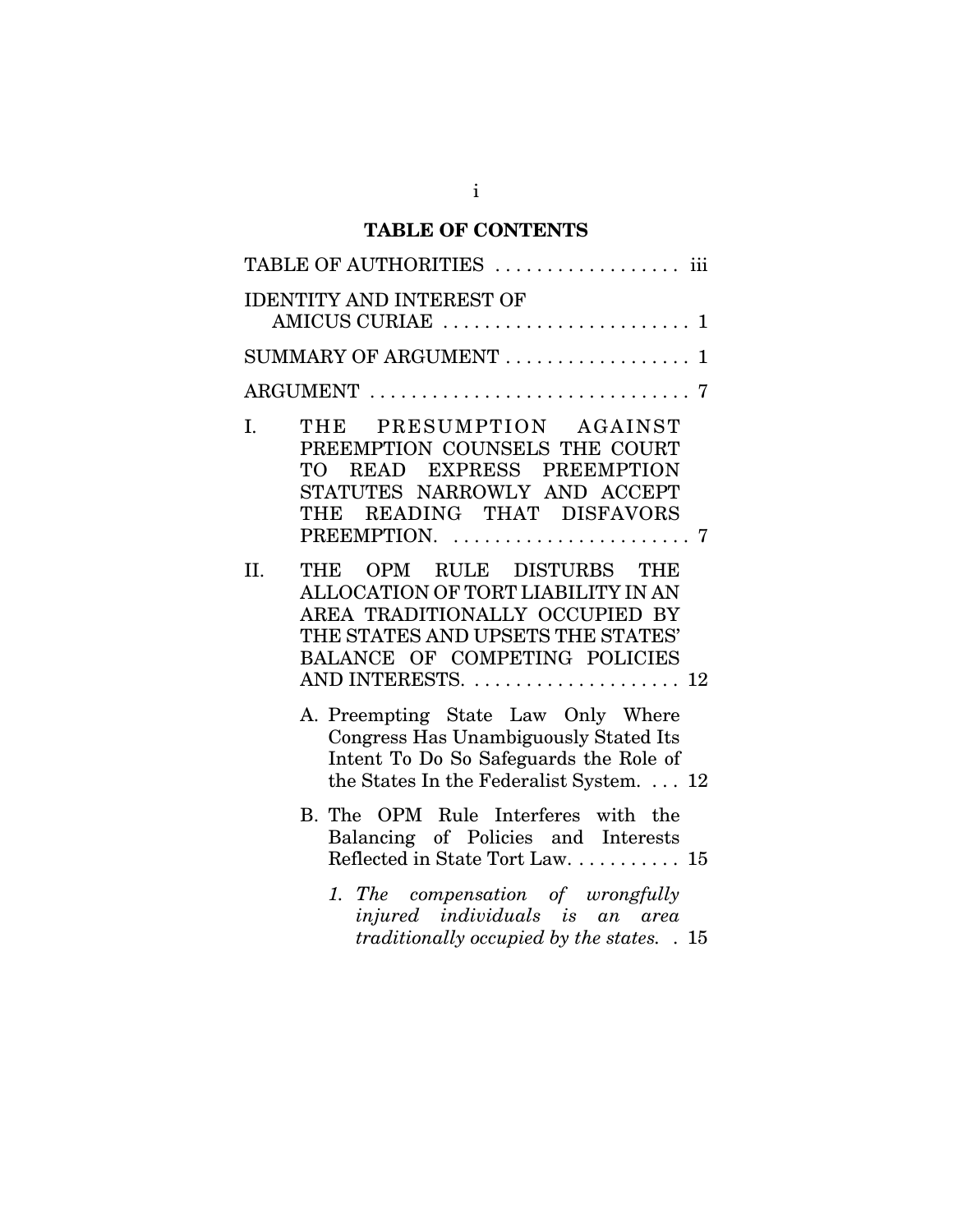# **TABLE OF CONTENTS**

|               | TABLE OF AUTHORITIES  iii                                                                                                                                                                                       |  |  |  |
|---------------|-----------------------------------------------------------------------------------------------------------------------------------------------------------------------------------------------------------------|--|--|--|
|               | <b>IDENTITY AND INTEREST OF</b>                                                                                                                                                                                 |  |  |  |
|               | SUMMARY OF ARGUMENT  1                                                                                                                                                                                          |  |  |  |
| ARGUMENT<br>7 |                                                                                                                                                                                                                 |  |  |  |
| I.            | THE PRESUMPTION AGAINST<br>PREEMPTION COUNSELS THE COURT<br>TO READ EXPRESS PREEMPTION<br>STATUTES NARROWLY AND ACCEPT<br>THE READING THAT DISFAVORS<br>PREEMPTION. $\ldots \ldots \ldots \ldots \ldots \ldots$ |  |  |  |
| II.           | THE OPM RULE DISTURBS THE<br>ALLOCATION OF TORT LIABILITY IN AN<br>AREA TRADITIONALLY OCCUPIED BY<br>THE STATES AND UPSETS THE STATES'<br>BALANCE OF COMPETING POLICIES<br>AND INTERESTS.  12                   |  |  |  |
|               | A. Preempting State Law Only Where<br>Congress Has Unambiguously Stated Its<br>Intent To Do So Safeguards the Role of<br>the States In the Federalist System.  12                                               |  |  |  |
|               | B. The OPM Rule Interferes with the<br>Balancing of Policies and Interests<br>Reflected in State Tort Law. 15                                                                                                   |  |  |  |
|               | 1. The compensation of wrongfully<br>injured individuals is an area<br>traditionally occupied by the states. . 15                                                                                               |  |  |  |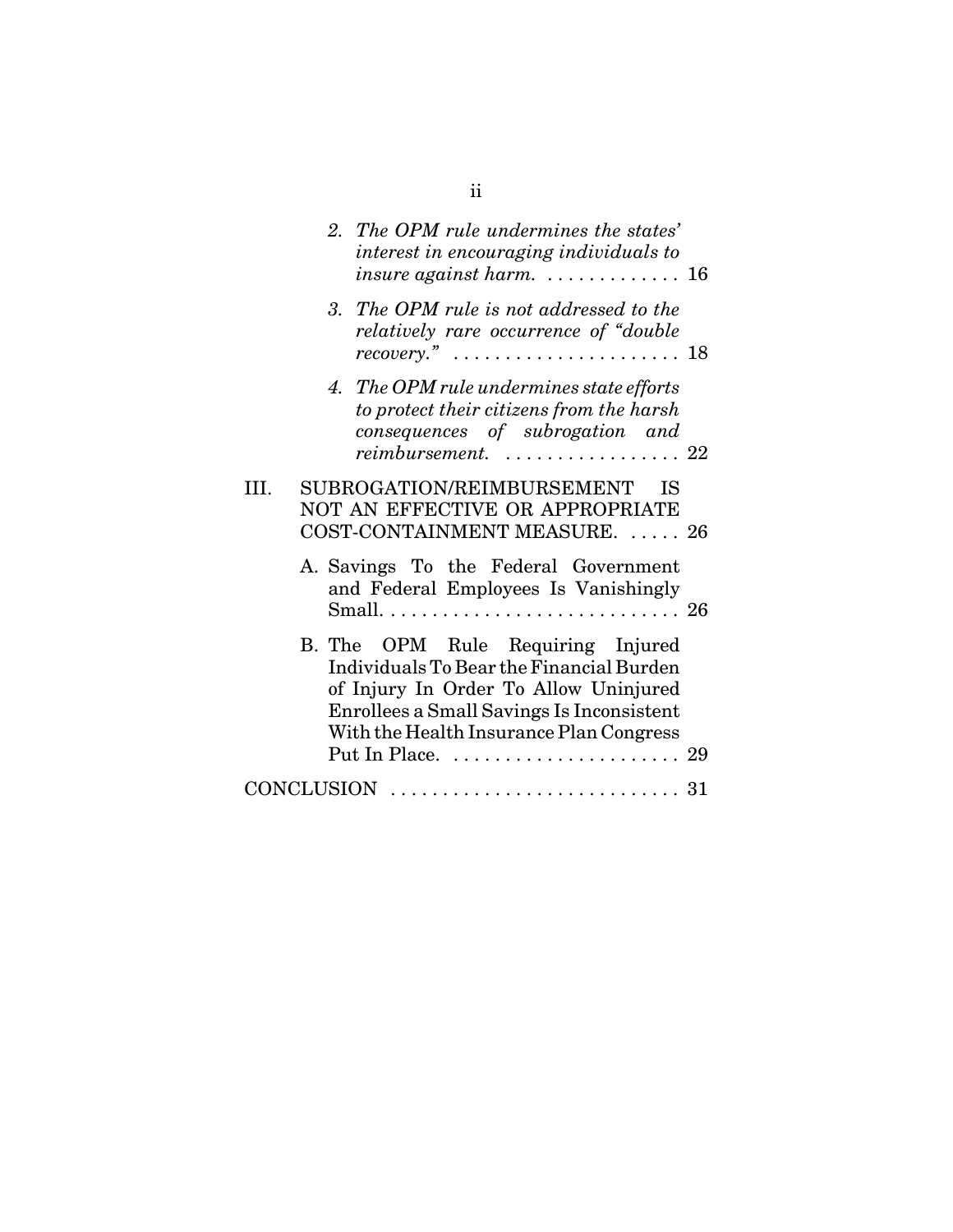|  | 2. The OPM rule undermines the states'<br>interest in encouraging individuals to<br>insure against harm. $\ldots \ldots \ldots \ldots 16$                                                                                                                           |  |
|--|---------------------------------------------------------------------------------------------------------------------------------------------------------------------------------------------------------------------------------------------------------------------|--|
|  | 3. The OPM rule is not addressed to the<br>relatively rare occurrence of "double"<br>recovery." $\ldots \ldots \ldots \ldots \ldots \ldots \ldots 18$                                                                                                               |  |
|  | 4. The OPM rule undermines state efforts<br>to protect their citizens from the harsh<br>consequences of subrogation and<br>$reimbursement.$ 22                                                                                                                      |  |
|  | SUBROGATION/REIMBURSEMENT<br>ΙS<br>NOT AN EFFECTIVE OR APPROPRIATE<br>COST-CONTAINMENT MEASURE.  26                                                                                                                                                                 |  |
|  | A. Savings To the Federal Government<br>and Federal Employees Is Vanishingly                                                                                                                                                                                        |  |
|  | B. The OPM Rule Requiring Injured<br>Individuals To Bear the Financial Burden<br>of Injury In Order To Allow Uninjured<br>Enrollees a Small Savings Is Inconsistent<br>With the Health Insurance Plan Congress<br>Put In Place. $\dots\dots\dots\dots\dots\dots$ 29 |  |
|  | $CONCLUSION \ \dots \dots \dots \dots \dots \dots \dots \dots \dots \ 31$                                                                                                                                                                                           |  |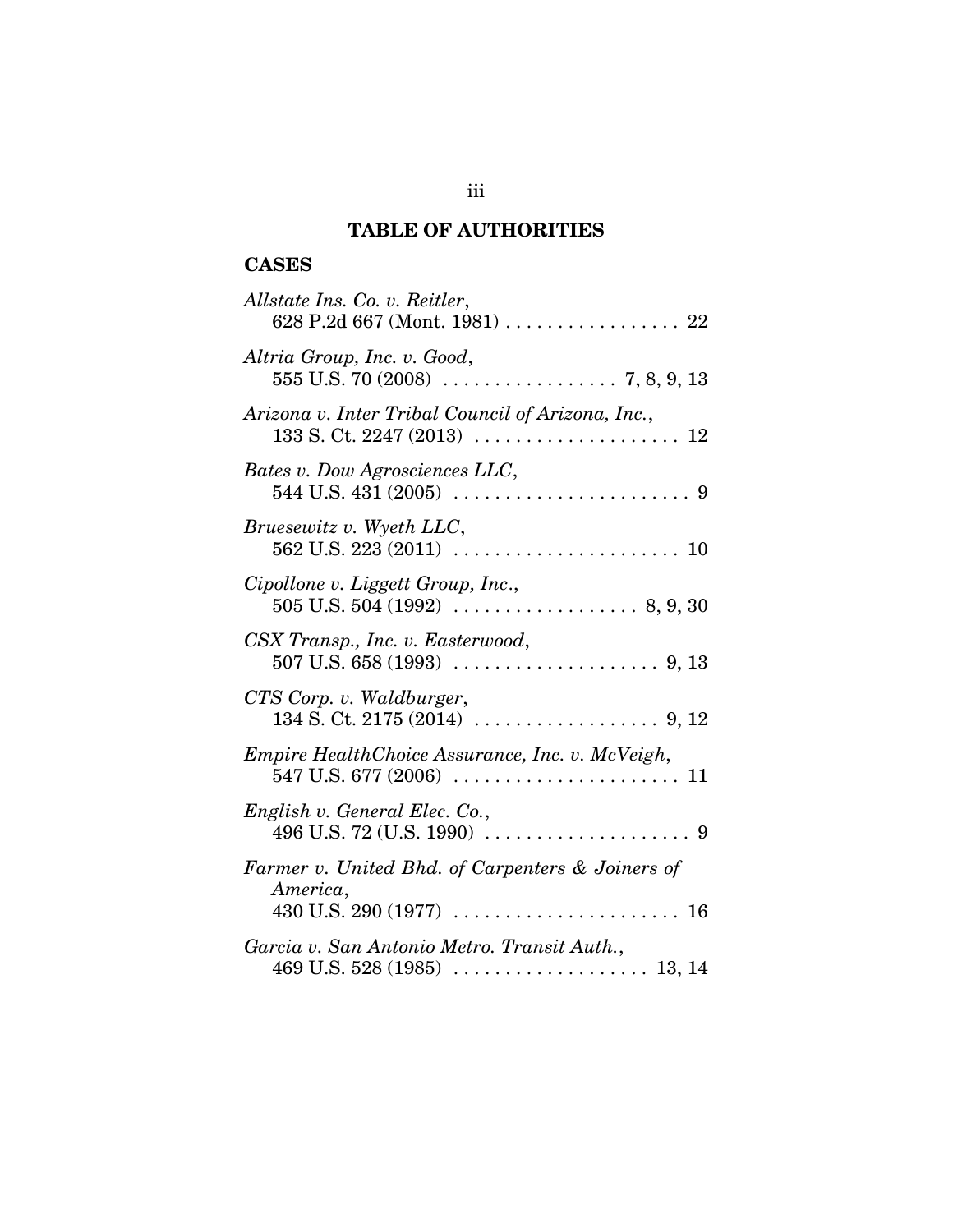# **TABLE OF AUTHORITIES**

# **CASES**

| Allstate Ins. Co. v. Reitler,<br>628 P.2d 667 (Mont. 1981) 22 |
|---------------------------------------------------------------|
| Altria Group, Inc. v. Good,                                   |
| Arizona v. Inter Tribal Council of Arizona, Inc.,             |
| Bates v. Dow Agrosciences LLC,                                |
| Bruesewitz v. Wyeth LLC,                                      |
| Cipollone v. Liggett Group, Inc.,                             |
| CSX Transp., Inc. v. Easterwood,                              |
| CTS Corp. v. Waldburger,                                      |
| Empire HealthChoice Assurance, Inc. v. McVeigh,               |
| English v. General Elec. Co.,                                 |
| Farmer v. United Bhd. of Carpenters & Joiners of<br>America,  |
| Garcia v. San Antonio Metro. Transit Auth.,                   |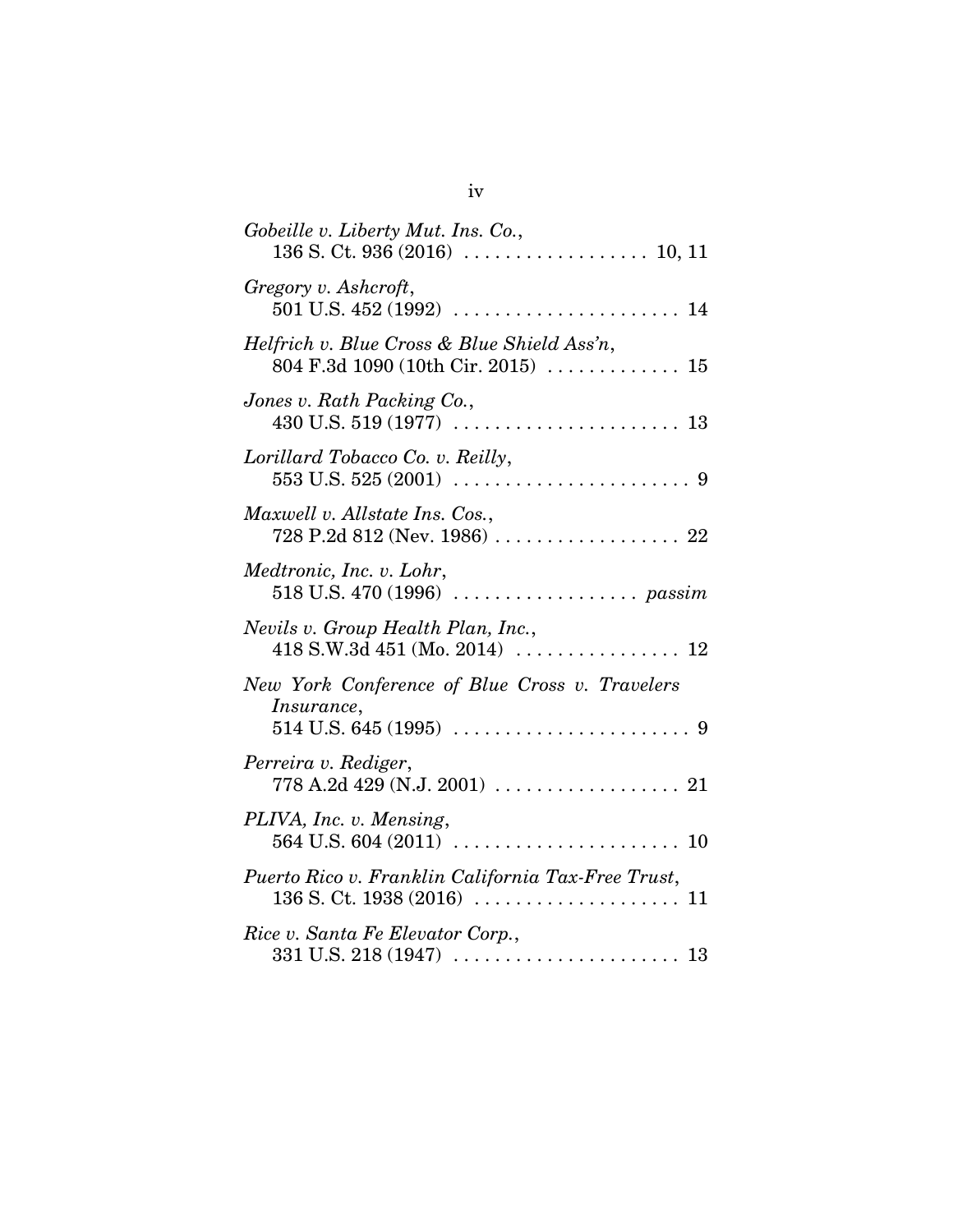| Gobeille v. Liberty Mut. Ins. Co.,                                                                                         |
|----------------------------------------------------------------------------------------------------------------------------|
| Gregory v. Ashcroft,                                                                                                       |
| Helfrich v. Blue Cross & Blue Shield Ass'n,<br>804 F.3d 1090 (10th Cir. 2015) $\ldots \ldots \ldots \ldots 15$             |
| Jones v. Rath Packing Co.,                                                                                                 |
| Lorillard Tobacco Co. v. Reilly,                                                                                           |
| Maxwell v. Allstate Ins. Cos.,                                                                                             |
| Medtronic, Inc. v. Lohr,                                                                                                   |
| Nevils v. Group Health Plan, Inc.,                                                                                         |
| New York Conference of Blue Cross v. Travelers<br>Insurance,                                                               |
| Perreira v. Rediger,<br>$778 \text{ A}.2d \ 429 \text{ (N.J. } 2001) \ \ldots \ldots \ldots \ldots \ldots \ldots \quad 21$ |
| PLIVA, Inc. v. Mensing,                                                                                                    |
| Puerto Rico v. Franklin California Tax-Free Trust,                                                                         |
| Rice v. Santa Fe Elevator Corp.,                                                                                           |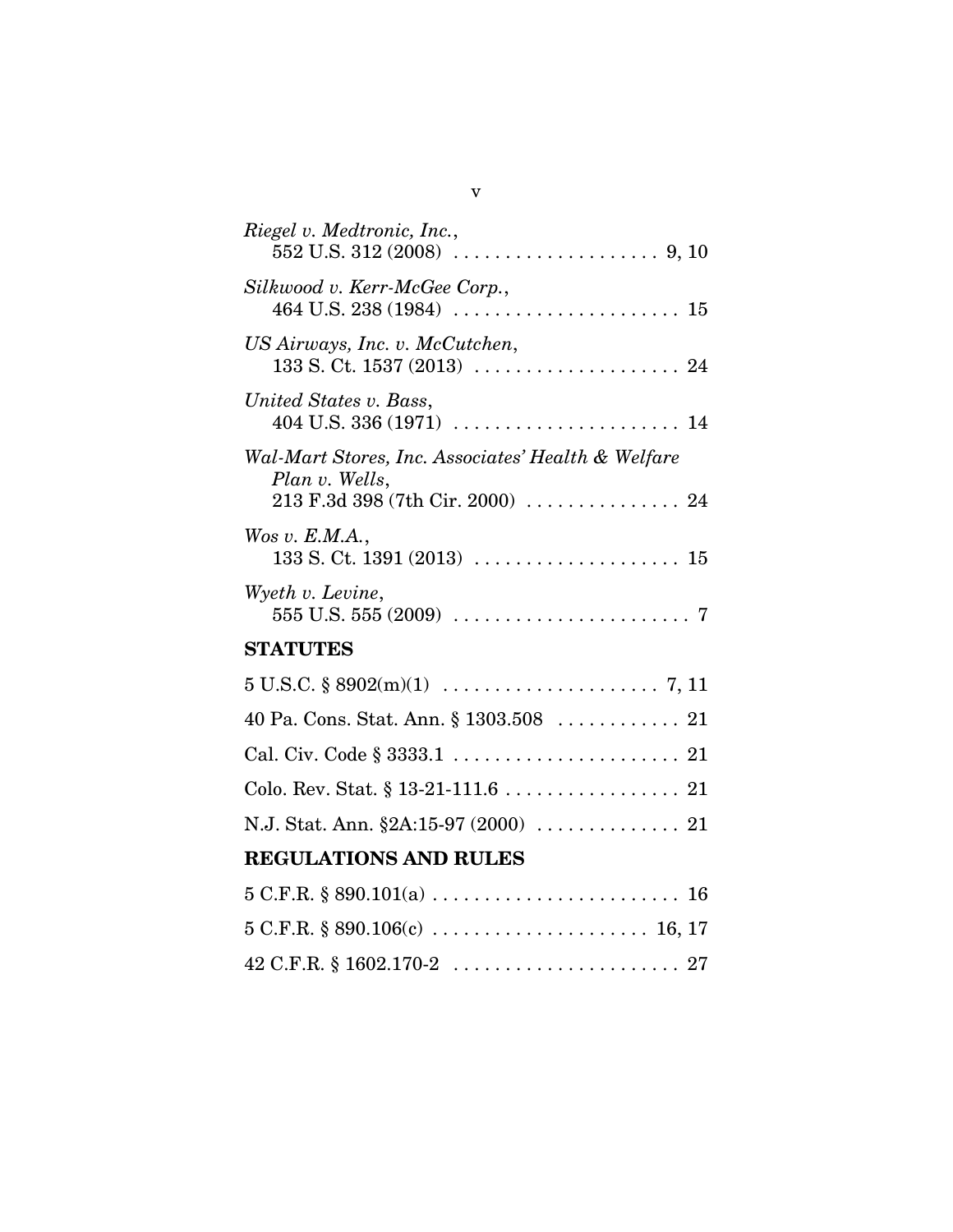42 C.F.R. § 1602.170-2 . . . . . . . . . . . . . . . . . . . . . . 27

v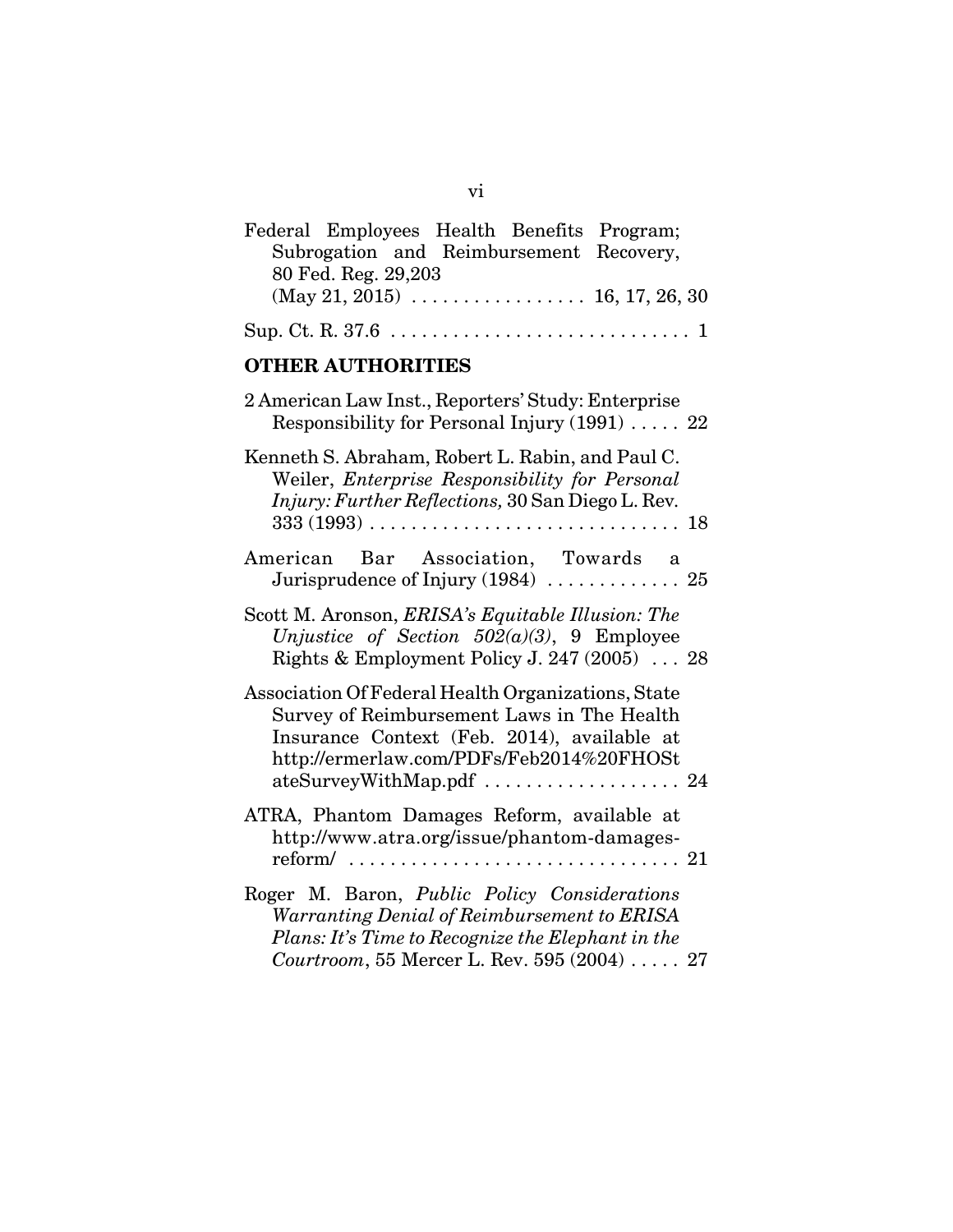| Federal Employees Health Benefits Program;                                                                                                                                                                              |
|-------------------------------------------------------------------------------------------------------------------------------------------------------------------------------------------------------------------------|
| Subrogation and Reimbursement Recovery,                                                                                                                                                                                 |
| 80 Fed. Reg. 29,203                                                                                                                                                                                                     |
|                                                                                                                                                                                                                         |
|                                                                                                                                                                                                                         |
| <b>OTHER AUTHORITIES</b>                                                                                                                                                                                                |
| 2 American Law Inst., Reporters' Study: Enterprise<br>Responsibility for Personal Injury $(1991)$ 22                                                                                                                    |
| Kenneth S. Abraham, Robert L. Rabin, and Paul C.<br>Weiler, Enterprise Responsibility for Personal<br>Injury: Further Reflections, 30 San Diego L. Rev.                                                                 |
| American Bar Association, Towards a                                                                                                                                                                                     |
| Scott M. Aronson, <i>ERISA's Equitable Illusion: The</i><br>Unjustice of Section $502(a)(3)$ , 9 Employee<br>Rights & Employment Policy J. 247 (2005) $\ldots$ 28                                                       |
| Association Of Federal Health Organizations, State<br>Survey of Reimbursement Laws in The Health<br>Insurance Context (Feb. 2014), available at<br>http://ermerlaw.com/PDFs/Feb2014%20FHOSt<br>ateSurveyWithMap.pdf  24 |
| ATRA, Phantom Damages Reform, available at<br>http://www.atra.org/issue/phantom-damages-                                                                                                                                |
| Roger M. Baron, Public Policy Considerations<br>Warranting Denial of Reimbursement to ERISA<br>Plans: It's Time to Recognize the Elephant in the<br>Courtroom, 55 Mercer L. Rev. 595 (2004)  27                         |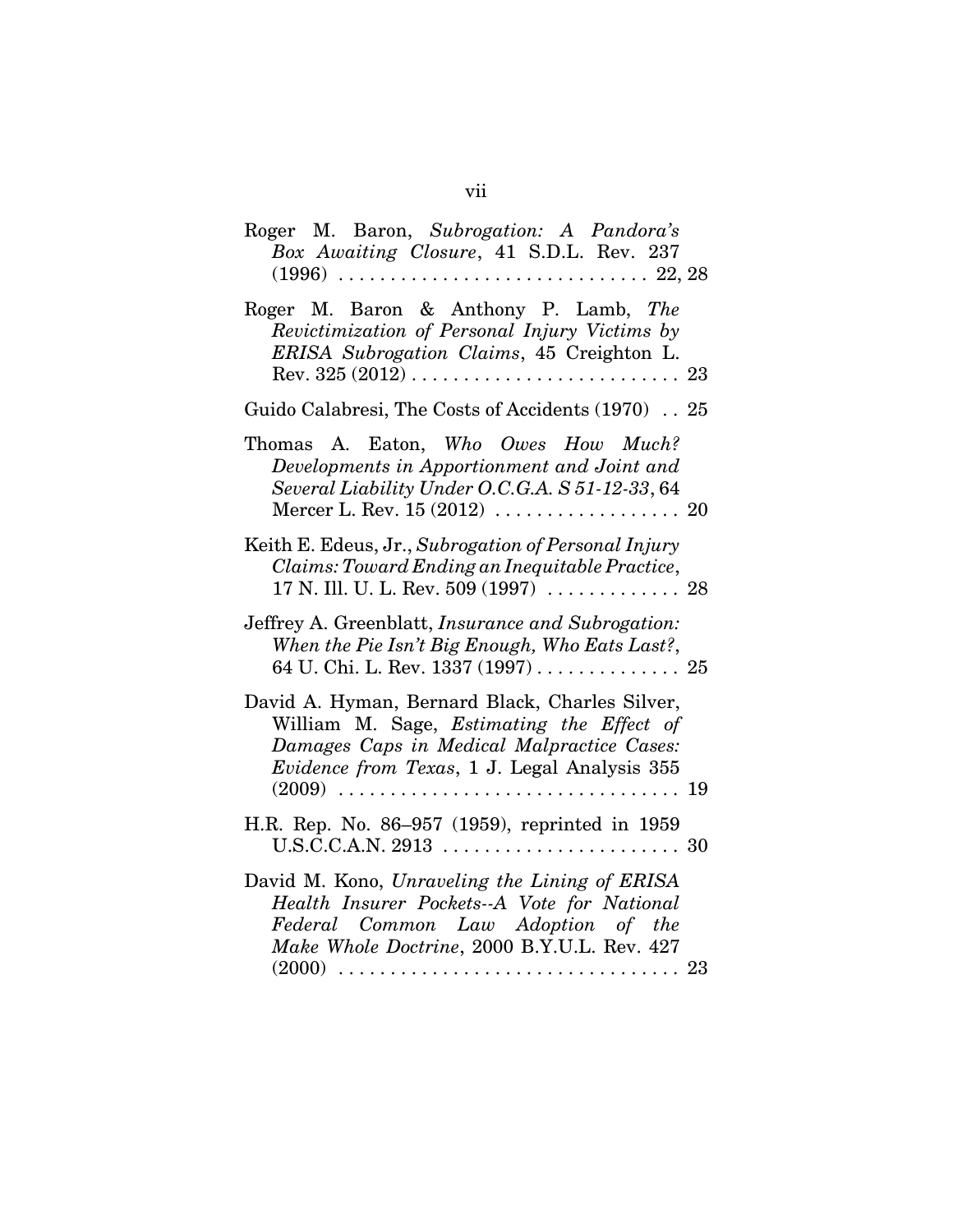| Roger M. Baron, Subrogation: A Pandora's<br>Box Awaiting Closure, 41 S.D.L. Rev. 237                                                                                                      |
|-------------------------------------------------------------------------------------------------------------------------------------------------------------------------------------------|
| Roger M. Baron & Anthony P. Lamb, The<br>Revictimization of Personal Injury Victims by<br>ERISA Subrogation Claims, 45 Creighton L.                                                       |
| Guido Calabresi, The Costs of Accidents (1970) 25                                                                                                                                         |
| Thomas A. Eaton, Who Owes How Much?<br>Developments in Apportionment and Joint and<br>Several Liability Under O.C.G.A. S 51-12-33, 64                                                     |
| Keith E. Edeus, Jr., Subrogation of Personal Injury<br>Claims: Toward Ending an Inequitable Practice,                                                                                     |
| Jeffrey A. Greenblatt, Insurance and Subrogation:<br>When the Pie Isn't Big Enough, Who Eats Last?,<br>64 U. Chi. L. Rev. 1337 (1997) 25                                                  |
| David A. Hyman, Bernard Black, Charles Silver,<br>William M. Sage, Estimating the Effect of<br>Damages Caps in Medical Malpractice Cases:<br>Evidence from Texas, 1 J. Legal Analysis 355 |
| H.R. Rep. No. 86-957 (1959), reprinted in 1959                                                                                                                                            |
| David M. Kono, Unraveling the Lining of ERISA<br>Health Insurer Pockets--A Vote for National<br>Federal Common Law Adoption of the<br>Make Whole Doctrine, 2000 B.Y.U.L. Rev. 427         |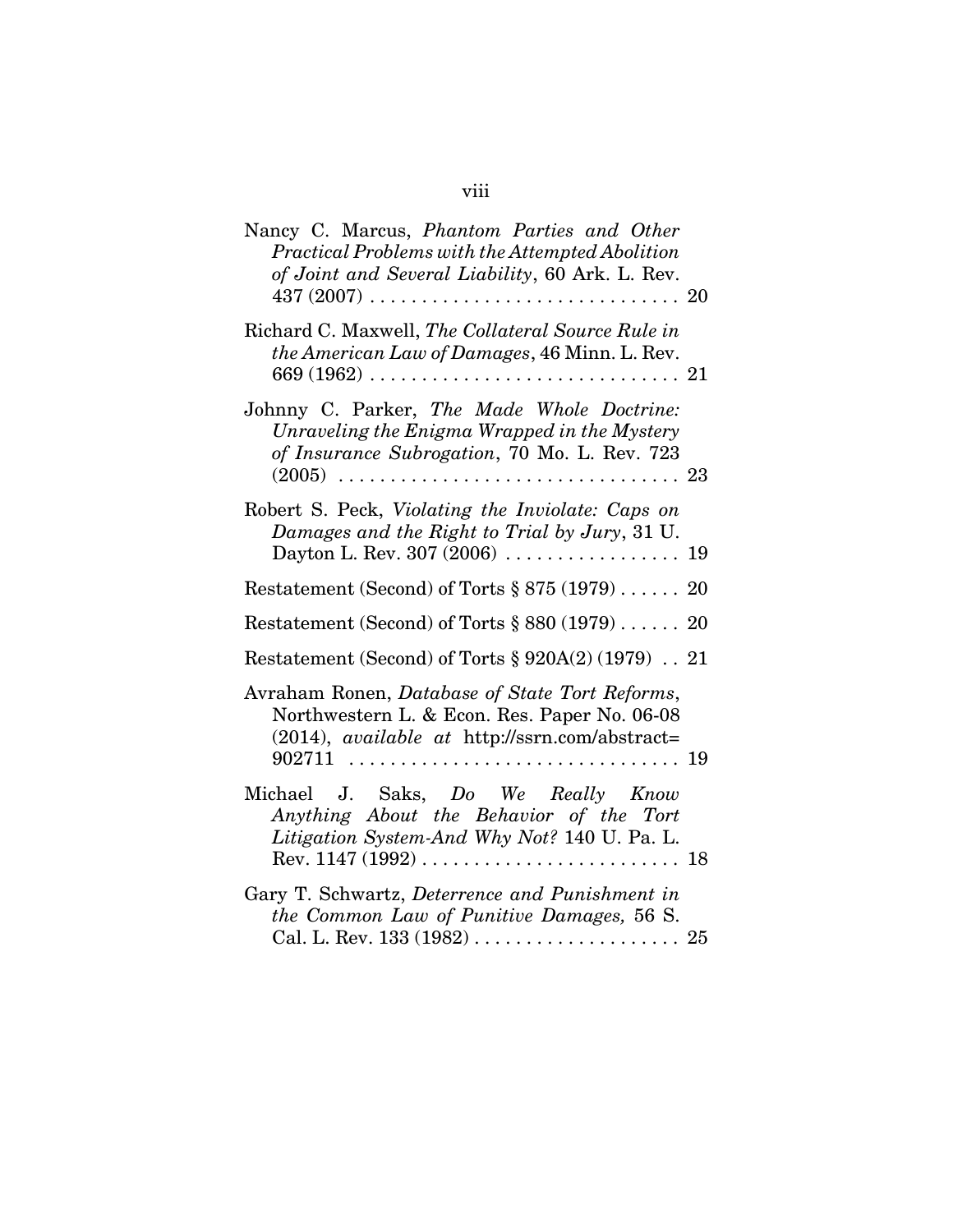# viii

| Nancy C. Marcus, Phantom Parties and Other<br>Practical Problems with the Attempted Abolition<br>of Joint and Several Liability, 60 Ark. L. Rev.<br>$437~(2007)~\ldots~\ldots~\ldots~\ldots~\ldots~\ldots~\ldots~\ldots~\ldots~\,20$ |
|--------------------------------------------------------------------------------------------------------------------------------------------------------------------------------------------------------------------------------------|
| Richard C. Maxwell, The Collateral Source Rule in<br>the American Law of Damages, 46 Minn. L. Rev.<br>669 (1962) $\ldots \ldots \ldots \ldots \ldots \ldots \ldots \ldots \ldots \ldots \ldots \; 21$                                |
| Johnny C. Parker, The Made Whole Doctrine:<br>Unraveling the Enigma Wrapped in the Mystery<br>of Insurance Subrogation, 70 Mo. L. Rev. 723                                                                                           |
| Robert S. Peck, Violating the Inviolate: Caps on<br>Damages and the Right to Trial by Jury, 31 U.                                                                                                                                    |
| Restatement (Second) of Torts $\S 875 (1979) \ldots$ . 20                                                                                                                                                                            |
| Restatement (Second) of Torts $\S 880 (1979) \ldots$ . 20                                                                                                                                                                            |
| Restatement (Second) of Torts § 920A(2) (1979) 21                                                                                                                                                                                    |
| Avraham Ronen, Database of State Tort Reforms,<br>Northwestern L. & Econ. Res. Paper No. 06-08<br>(2014), available at http://ssrn.com/abstract=                                                                                     |
| Michael J. Saks, Do We Really Know<br>Anything About the Behavior of the Tort<br>Litigation System-And Why Not? 140 U. Pa. L.                                                                                                        |
| Gary T. Schwartz, Deterrence and Punishment in<br>the Common Law of Punitive Damages, 56 S.                                                                                                                                          |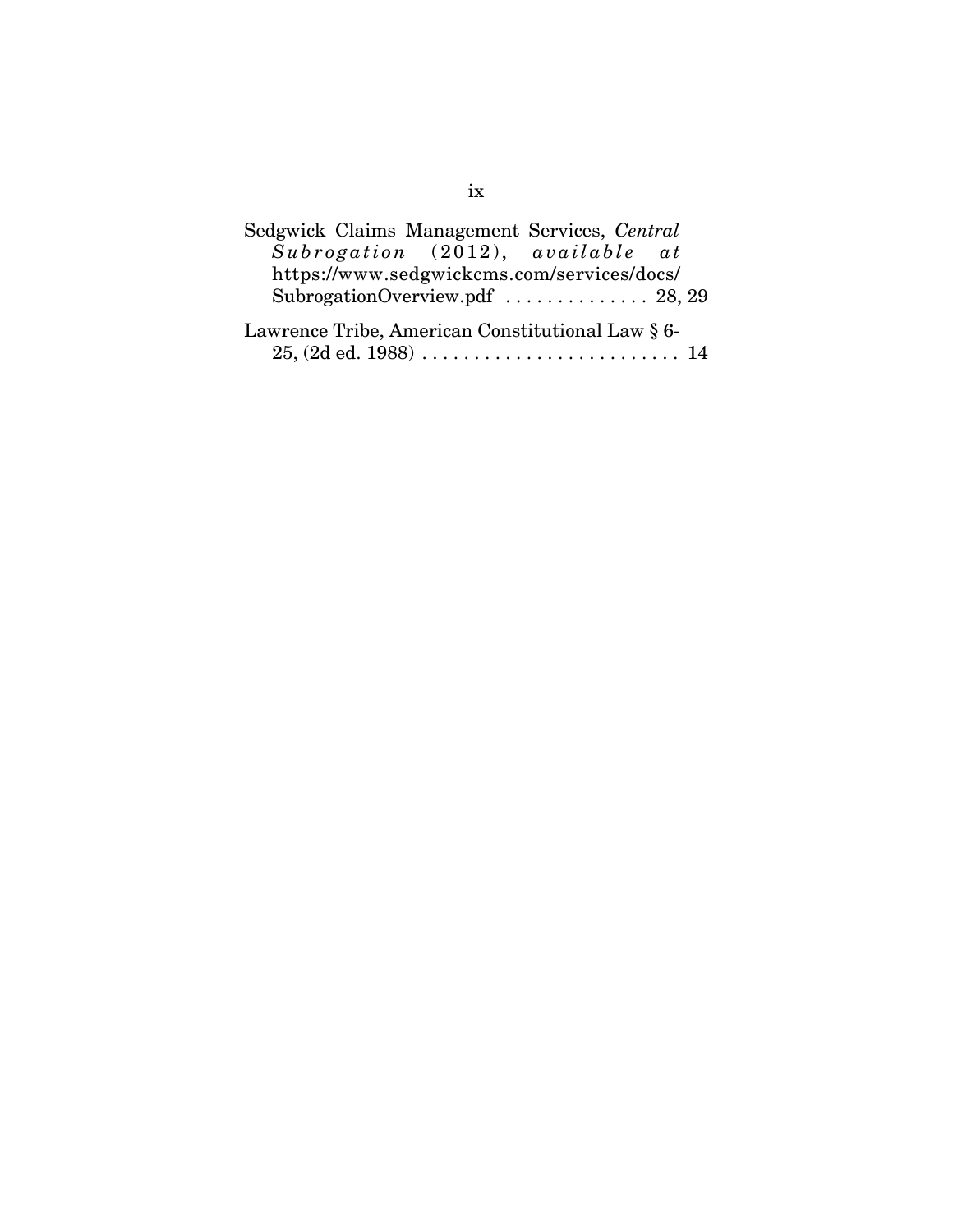| Sedgwick Claims Management Services, Central     |
|--------------------------------------------------|
| Subrogation (2012), available at                 |
| https://www.sedgwickcms.com/services/docs/       |
| SubrogationOverview.pdf  28, 29                  |
| Lawrence Tribe, American Constitutional Law § 6- |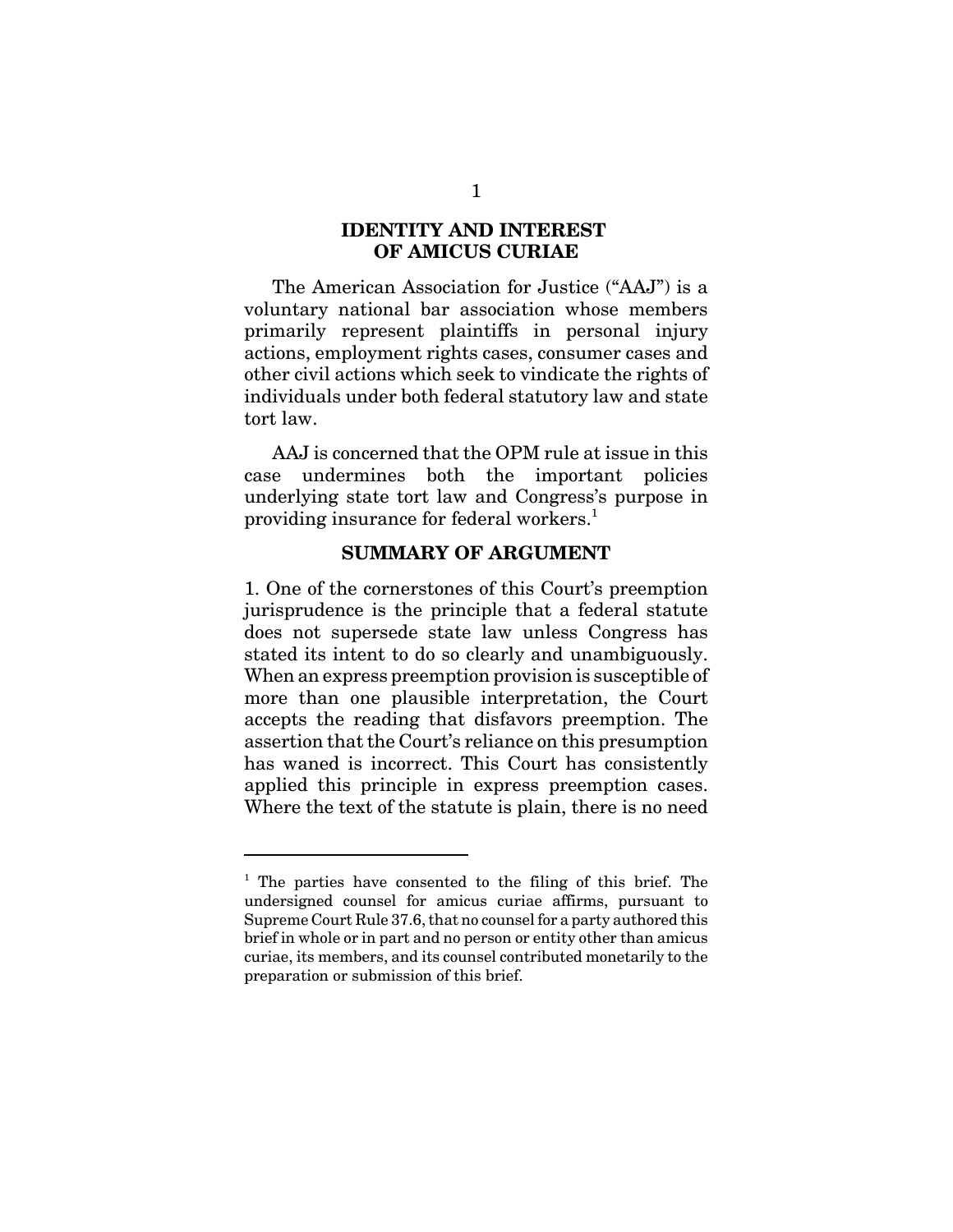# **IDENTITY AND INTEREST OF AMICUS CURIAE**

The American Association for Justice ("AAJ") is a voluntary national bar association whose members primarily represent plaintiffs in personal injury actions, employment rights cases, consumer cases and other civil actions which seek to vindicate the rights of individuals under both federal statutory law and state tort law.

AAJ is concerned that the OPM rule at issue in this case undermines both the important policies underlying state tort law and Congress's purpose in providing insurance for federal workers.<sup>1</sup>

### **SUMMARY OF ARGUMENT**

1. One of the cornerstones of this Court's preemption jurisprudence is the principle that a federal statute does not supersede state law unless Congress has stated its intent to do so clearly and unambiguously. When an express preemption provision is susceptible of more than one plausible interpretation, the Court accepts the reading that disfavors preemption. The assertion that the Court's reliance on this presumption has waned is incorrect. This Court has consistently applied this principle in express preemption cases. Where the text of the statute is plain, there is no need

<sup>&</sup>lt;sup>1</sup> The parties have consented to the filing of this brief. The undersigned counsel for amicus curiae affirms, pursuant to Supreme Court Rule 37.6, that no counsel for a party authored this brief in whole or in part and no person or entity other than amicus curiae, its members, and its counsel contributed monetarily to the preparation or submission of this brief.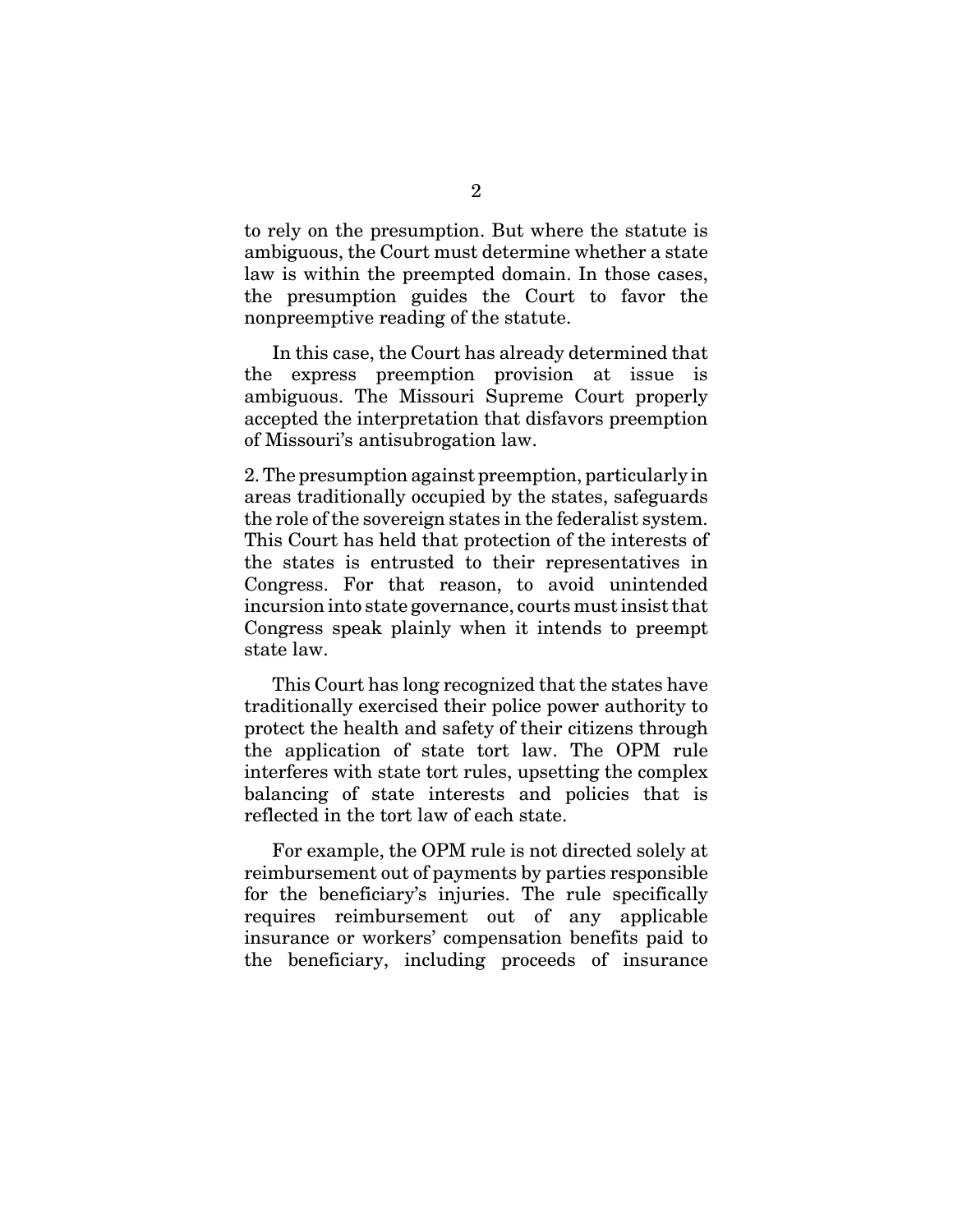to rely on the presumption. But where the statute is ambiguous, the Court must determine whether a state law is within the preempted domain. In those cases, the presumption guides the Court to favor the nonpreemptive reading of the statute.

In this case, the Court has already determined that the express preemption provision at issue is ambiguous. The Missouri Supreme Court properly accepted the interpretation that disfavors preemption of Missouri's antisubrogation law.

2. The presumption against preemption, particularly in areas traditionally occupied by the states, safeguards the role of the sovereign states in the federalist system. This Court has held that protection of the interests of the states is entrusted to their representatives in Congress. For that reason, to avoid unintended incursion into state governance, courts must insist that Congress speak plainly when it intends to preempt state law.

This Court has long recognized that the states have traditionally exercised their police power authority to protect the health and safety of their citizens through the application of state tort law. The OPM rule interferes with state tort rules, upsetting the complex balancing of state interests and policies that is reflected in the tort law of each state.

For example, the OPM rule is not directed solely at reimbursement out of payments by parties responsible for the beneficiary's injuries. The rule specifically requires reimbursement out of any applicable insurance or workers' compensation benefits paid to the beneficiary, including proceeds of insurance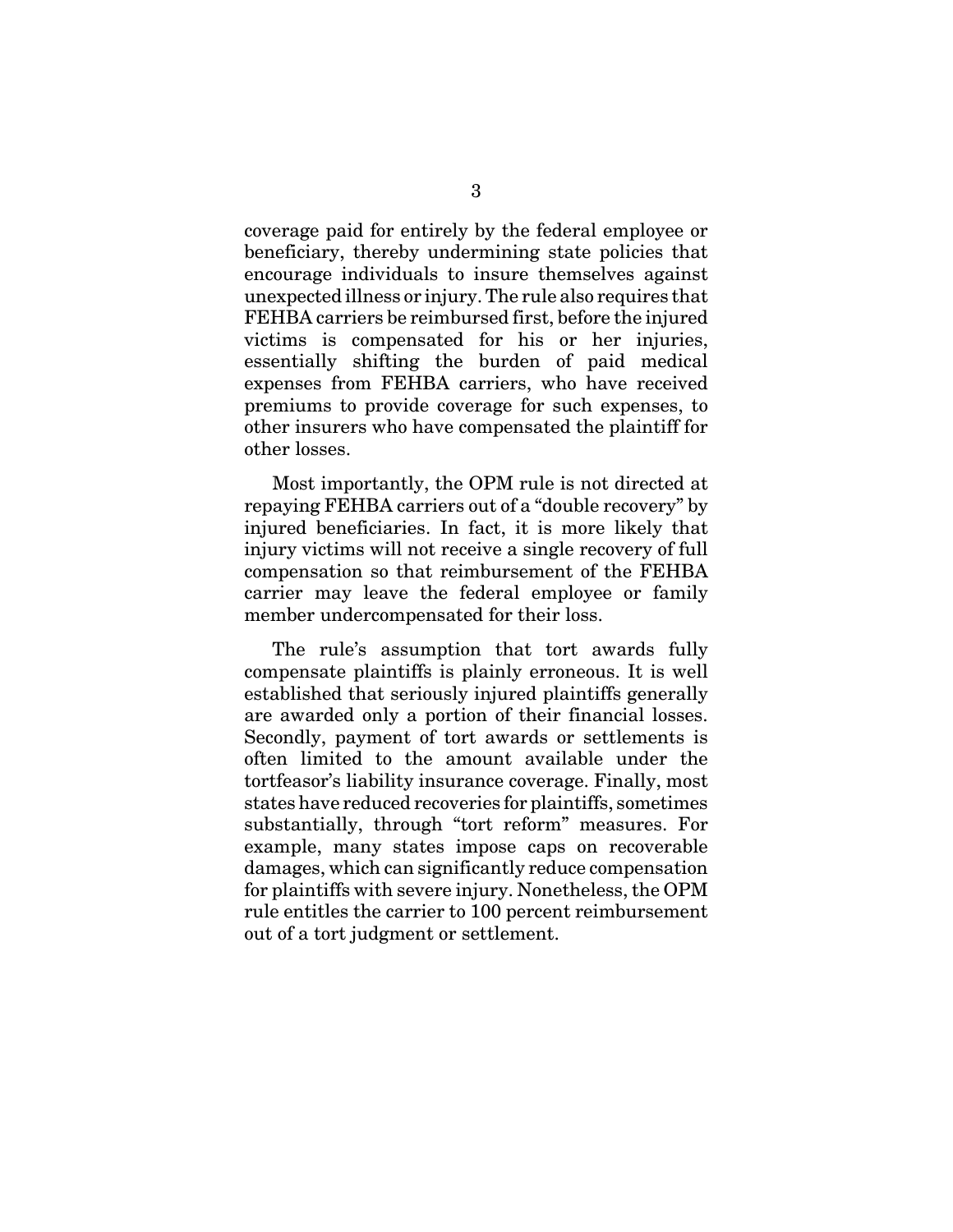coverage paid for entirely by the federal employee or beneficiary, thereby undermining state policies that encourage individuals to insure themselves against unexpected illness or injury. The rule also requires that FEHBA carriers be reimbursed first, before the injured victims is compensated for his or her injuries, essentially shifting the burden of paid medical expenses from FEHBA carriers, who have received premiums to provide coverage for such expenses, to other insurers who have compensated the plaintiff for other losses.

Most importantly, the OPM rule is not directed at repaying FEHBA carriers out of a "double recovery" by injured beneficiaries. In fact, it is more likely that injury victims will not receive a single recovery of full compensation so that reimbursement of the FEHBA carrier may leave the federal employee or family member undercompensated for their loss.

The rule's assumption that tort awards fully compensate plaintiffs is plainly erroneous. It is well established that seriously injured plaintiffs generally are awarded only a portion of their financial losses. Secondly, payment of tort awards or settlements is often limited to the amount available under the tortfeasor's liability insurance coverage. Finally, most states have reduced recoveries for plaintiffs, sometimes substantially, through "tort reform" measures. For example, many states impose caps on recoverable damages, which can significantly reduce compensation for plaintiffs with severe injury. Nonetheless, the OPM rule entitles the carrier to 100 percent reimbursement out of a tort judgment or settlement.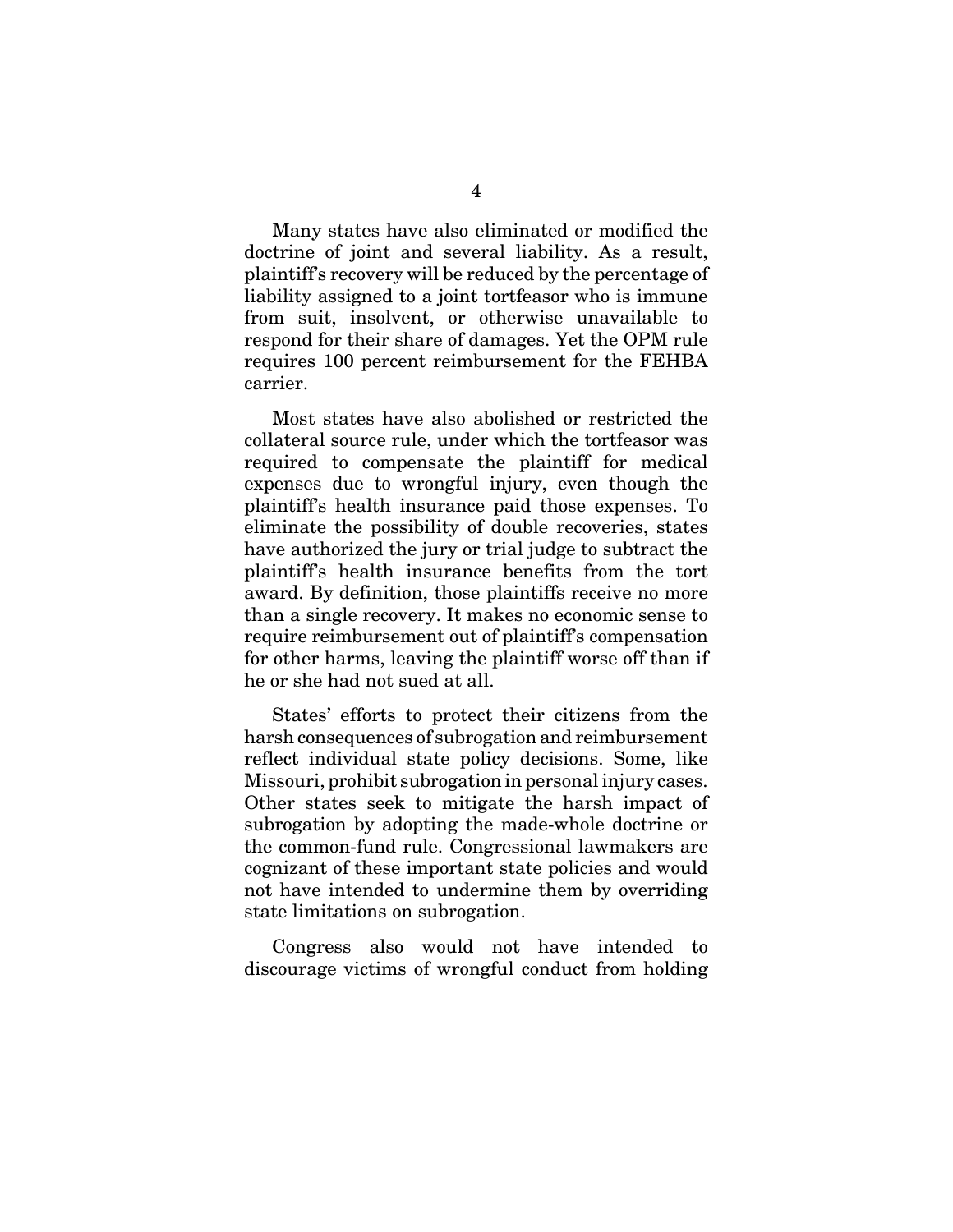Many states have also eliminated or modified the doctrine of joint and several liability. As a result, plaintiff's recovery will be reduced by the percentage of liability assigned to a joint tortfeasor who is immune from suit, insolvent, or otherwise unavailable to respond for their share of damages. Yet the OPM rule requires 100 percent reimbursement for the FEHBA carrier.

Most states have also abolished or restricted the collateral source rule, under which the tortfeasor was required to compensate the plaintiff for medical expenses due to wrongful injury, even though the plaintiff's health insurance paid those expenses. To eliminate the possibility of double recoveries, states have authorized the jury or trial judge to subtract the plaintiff's health insurance benefits from the tort award. By definition, those plaintiffs receive no more than a single recovery. It makes no economic sense to require reimbursement out of plaintiff's compensation for other harms, leaving the plaintiff worse off than if he or she had not sued at all.

States' efforts to protect their citizens from the harsh consequences of subrogation and reimbursement reflect individual state policy decisions. Some, like Missouri, prohibit subrogation in personal injury cases. Other states seek to mitigate the harsh impact of subrogation by adopting the made-whole doctrine or the common-fund rule. Congressional lawmakers are cognizant of these important state policies and would not have intended to undermine them by overriding state limitations on subrogation.

Congress also would not have intended to discourage victims of wrongful conduct from holding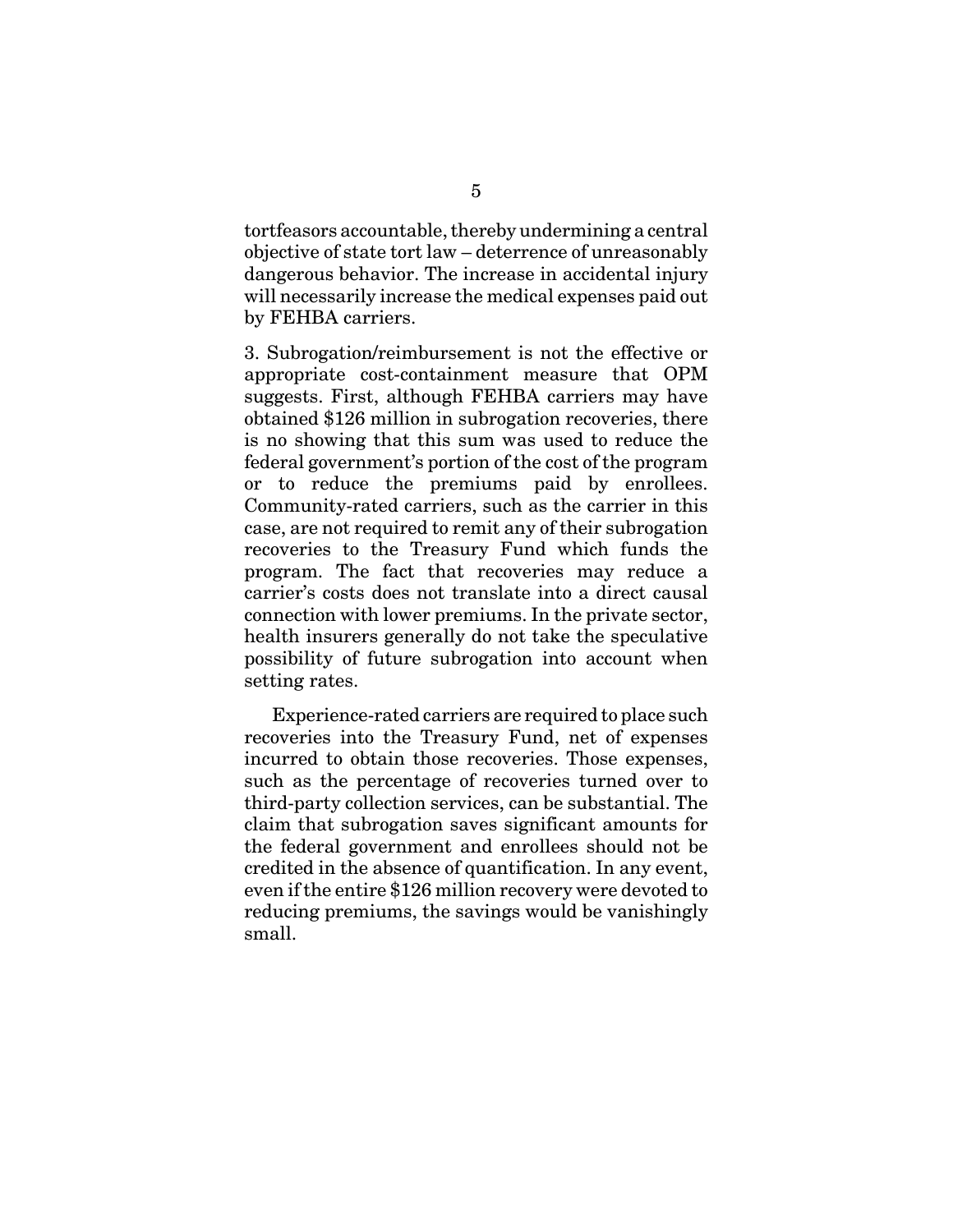tortfeasors accountable, thereby undermining a central objective of state tort law – deterrence of unreasonably dangerous behavior. The increase in accidental injury will necessarily increase the medical expenses paid out by FEHBA carriers.

3. Subrogation/reimbursement is not the effective or appropriate cost-containment measure that OPM suggests. First, although FEHBA carriers may have obtained \$126 million in subrogation recoveries, there is no showing that this sum was used to reduce the federal government's portion of the cost of the program or to reduce the premiums paid by enrollees. Community-rated carriers, such as the carrier in this case, are not required to remit any of their subrogation recoveries to the Treasury Fund which funds the program. The fact that recoveries may reduce a carrier's costs does not translate into a direct causal connection with lower premiums. In the private sector, health insurers generally do not take the speculative possibility of future subrogation into account when setting rates.

Experience-rated carriers are required to place such recoveries into the Treasury Fund, net of expenses incurred to obtain those recoveries. Those expenses, such as the percentage of recoveries turned over to third-party collection services, can be substantial. The claim that subrogation saves significant amounts for the federal government and enrollees should not be credited in the absence of quantification. In any event, even if the entire \$126 million recovery were devoted to reducing premiums, the savings would be vanishingly small.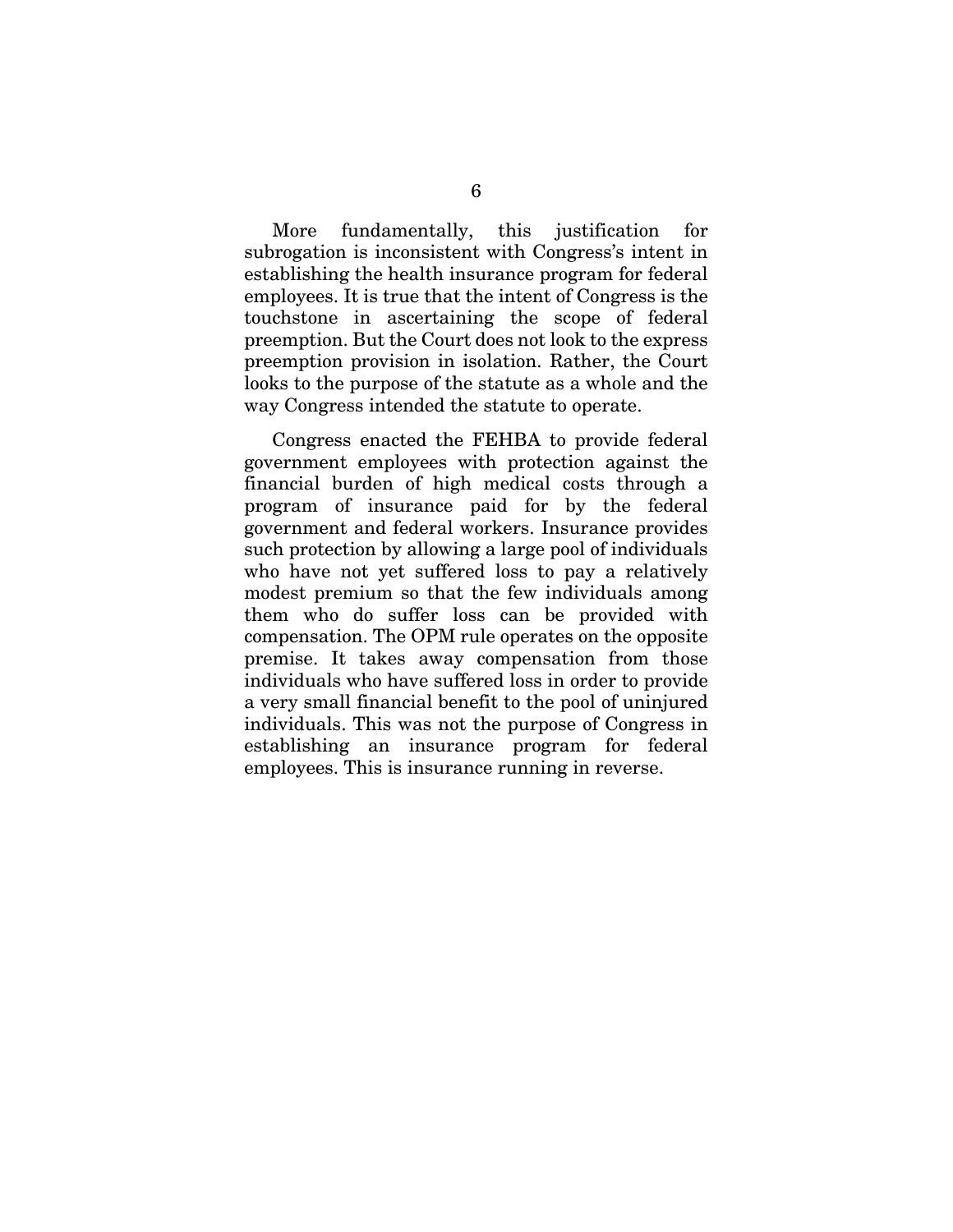More fundamentally, this justification for subrogation is inconsistent with Congress's intent in establishing the health insurance program for federal employees. It is true that the intent of Congress is the touchstone in ascertaining the scope of federal preemption. But the Court does not look to the express preemption provision in isolation. Rather, the Court looks to the purpose of the statute as a whole and the way Congress intended the statute to operate.

Congress enacted the FEHBA to provide federal government employees with protection against the financial burden of high medical costs through a program of insurance paid for by the federal government and federal workers. Insurance provides such protection by allowing a large pool of individuals who have not yet suffered loss to pay a relatively modest premium so that the few individuals among them who do suffer loss can be provided with compensation. The OPM rule operates on the opposite premise. It takes away compensation from those individuals who have suffered loss in order to provide a very small financial benefit to the pool of uninjured individuals. This was not the purpose of Congress in establishing an insurance program for federal employees. This is insurance running in reverse.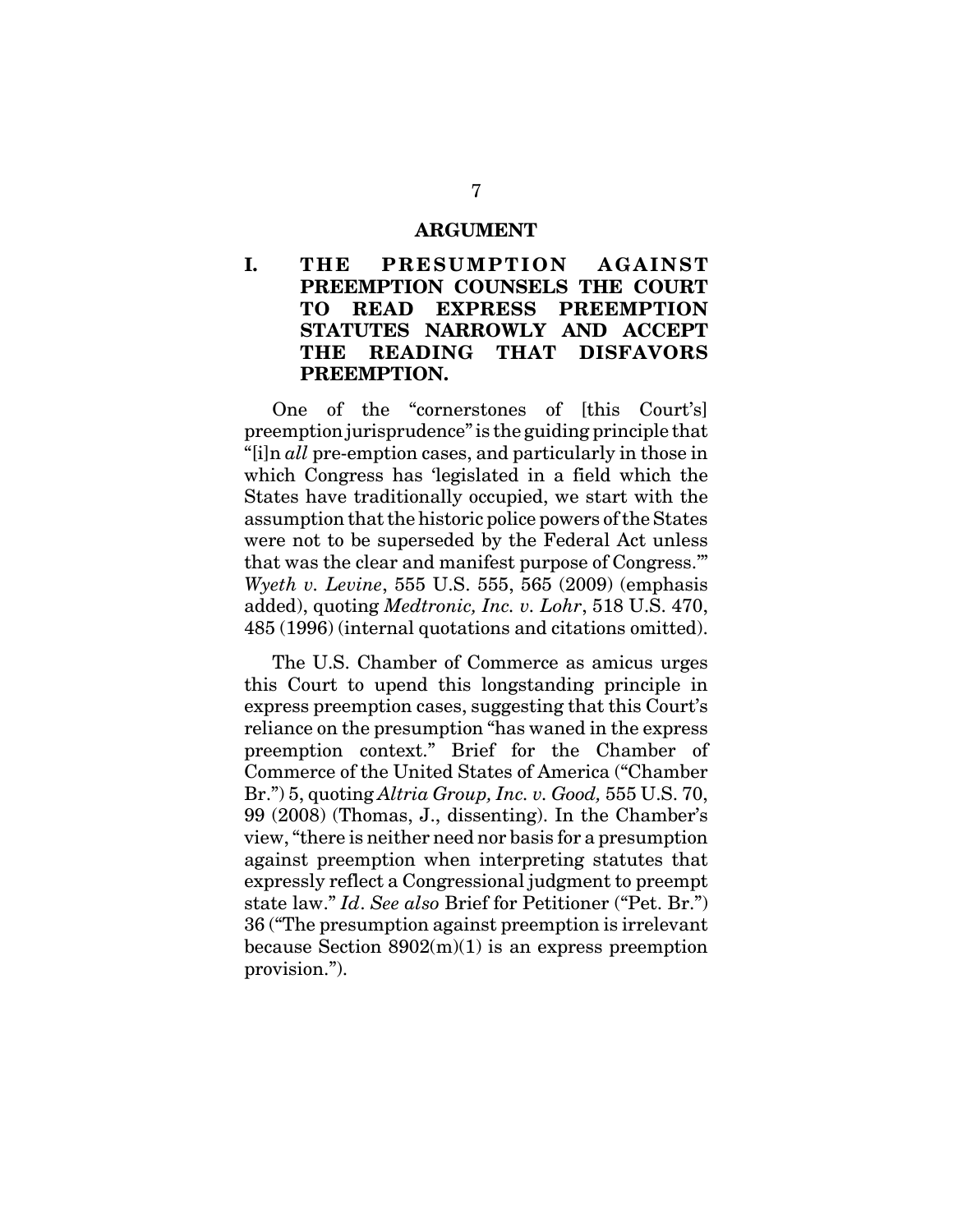#### **ARGUMENT**

# **I. THE PRESUMPTION AGAINST PREEMPTION COUNSELS THE COURT TO READ EXPRESS PREEMPTION STATUTES NARROWLY AND ACCEPT THE READING THAT DISFAVORS PREEMPTION.**

One of the "cornerstones of [this Court's] preemption jurisprudence" is the guiding principle that "[i]n *all* pre-emption cases, and particularly in those in which Congress has 'legislated in a field which the States have traditionally occupied, we start with the assumption that the historic police powers of the States were not to be superseded by the Federal Act unless that was the clear and manifest purpose of Congress.'" *Wyeth v. Levine*, 555 U.S. 555, 565 (2009) (emphasis added), quoting *Medtronic, Inc. v. Lohr*, 518 U.S. 470, 485 (1996) (internal quotations and citations omitted).

The U.S. Chamber of Commerce as amicus urges this Court to upend this longstanding principle in express preemption cases, suggesting that this Court's reliance on the presumption "has waned in the express preemption context." Brief for the Chamber of Commerce of the United States of America ("Chamber Br.") 5, quoting *Altria Group, Inc. v. Good,* 555 U.S. 70, 99 (2008) (Thomas, J., dissenting). In the Chamber's view, "there is neither need nor basis for a presumption against preemption when interpreting statutes that expressly reflect a Congressional judgment to preempt state law." *Id*. *See also* Brief for Petitioner ("Pet. Br.") 36 ("The presumption against preemption is irrelevant because Section  $8902(m)(1)$  is an express preemption provision.").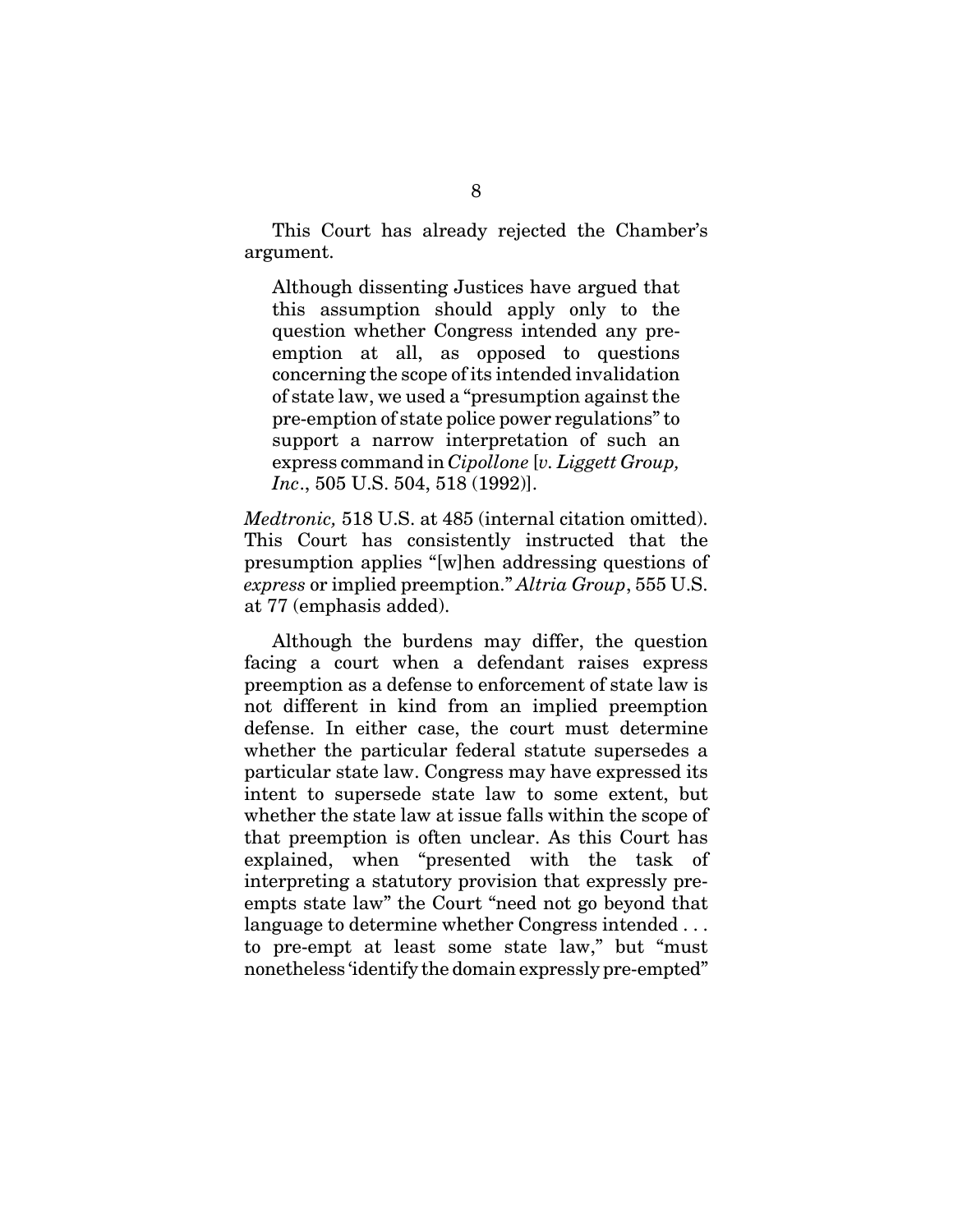This Court has already rejected the Chamber's argument.

Although dissenting Justices have argued that this assumption should apply only to the question whether Congress intended any preemption at all, as opposed to questions concerning the scope of its intended invalidation of state law, we used a "presumption against the pre-emption of state police power regulations" to support a narrow interpretation of such an express command in *Cipollone* [*v. Liggett Group, Inc*., 505 U.S. 504, 518 (1992)].

*Medtronic,* 518 U.S. at 485 (internal citation omitted). This Court has consistently instructed that the presumption applies "[w]hen addressing questions of *express* or implied preemption." *Altria Group*, 555 U.S. at 77 (emphasis added).

Although the burdens may differ, the question facing a court when a defendant raises express preemption as a defense to enforcement of state law is not different in kind from an implied preemption defense. In either case, the court must determine whether the particular federal statute supersedes a particular state law. Congress may have expressed its intent to supersede state law to some extent, but whether the state law at issue falls within the scope of that preemption is often unclear. As this Court has explained, when "presented with the task of interpreting a statutory provision that expressly preempts state law" the Court "need not go beyond that language to determine whether Congress intended . . . to pre-empt at least some state law," but "must nonetheless 'identify the domain expressly pre-empted"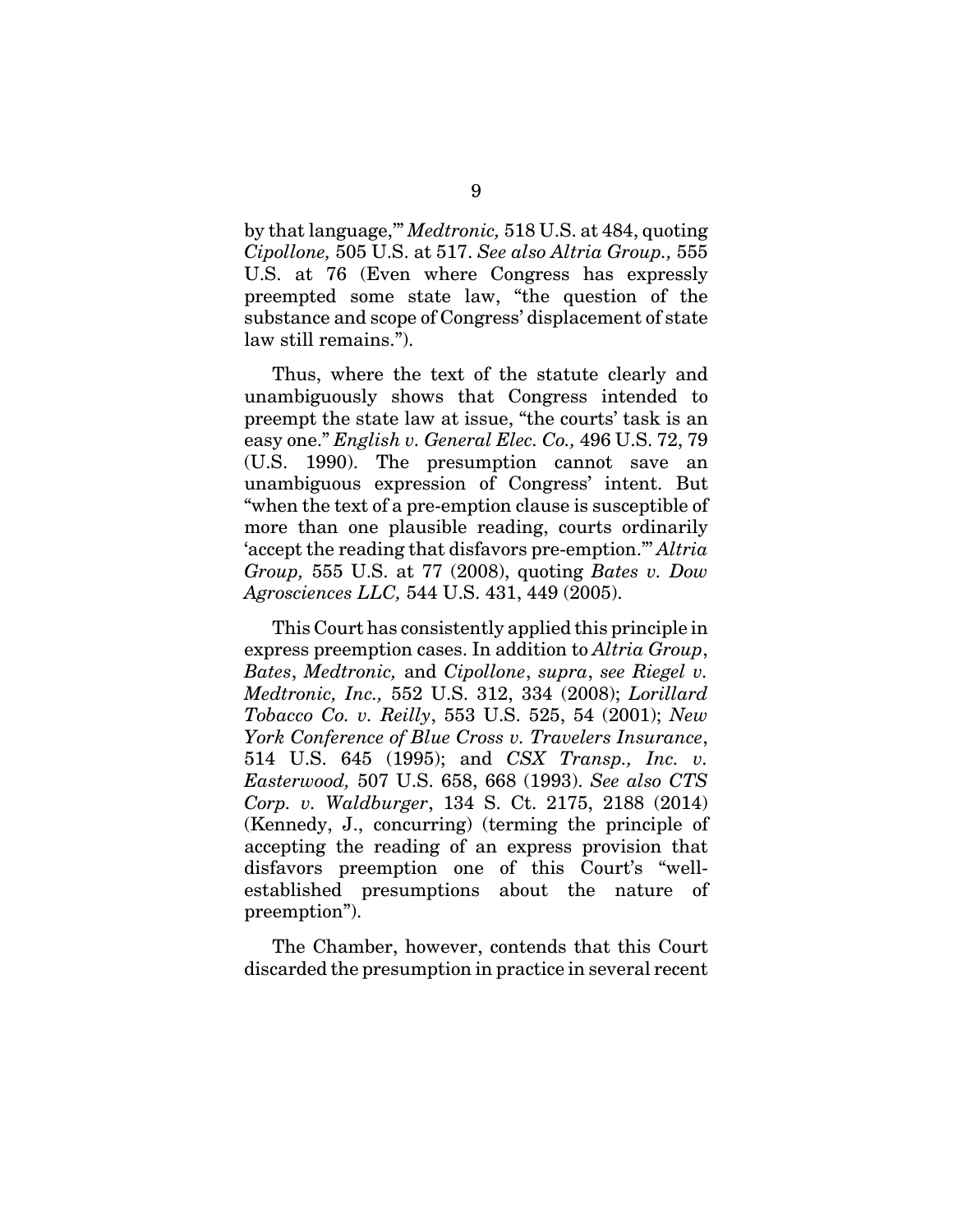by that language,'" *Medtronic,* 518 U.S. at 484, quoting *Cipollone,* 505 U.S. at 517. *See also Altria Group.,* 555 U.S. at 76 (Even where Congress has expressly preempted some state law, "the question of the substance and scope of Congress' displacement of state law still remains.").

Thus, where the text of the statute clearly and unambiguously shows that Congress intended to preempt the state law at issue, "the courts' task is an easy one." *English v. General Elec. Co.,* 496 U.S. 72, 79 (U.S. 1990). The presumption cannot save an unambiguous expression of Congress' intent. But "when the text of a pre-emption clause is susceptible of more than one plausible reading, courts ordinarily 'accept the reading that disfavors pre-emption."' *Altria Group,* 555 U.S. at 77 (2008), quoting *Bates v. Dow Agrosciences LLC,* 544 U.S. 431, 449 (2005).

This Court has consistently applied this principle in express preemption cases. In addition to *Altria Group*, *Bates*, *Medtronic,* and *Cipollone*, *supra*, *see Riegel v. Medtronic, Inc.,* 552 U.S. 312, 334 (2008); *Lorillard Tobacco Co. v. Reilly*, 553 U.S. 525, 54 (2001); *New York Conference of Blue Cross v. Travelers Insurance*, 514 U.S. 645 (1995); and *CSX Transp., Inc. v. Easterwood,* 507 U.S. 658, 668 (1993). *See also CTS Corp. v. Waldburger*, 134 S. Ct. 2175, 2188 (2014) (Kennedy, J., concurring) (terming the principle of accepting the reading of an express provision that disfavors preemption one of this Court's "wellestablished presumptions about the nature of preemption").

The Chamber, however, contends that this Court discarded the presumption in practice in several recent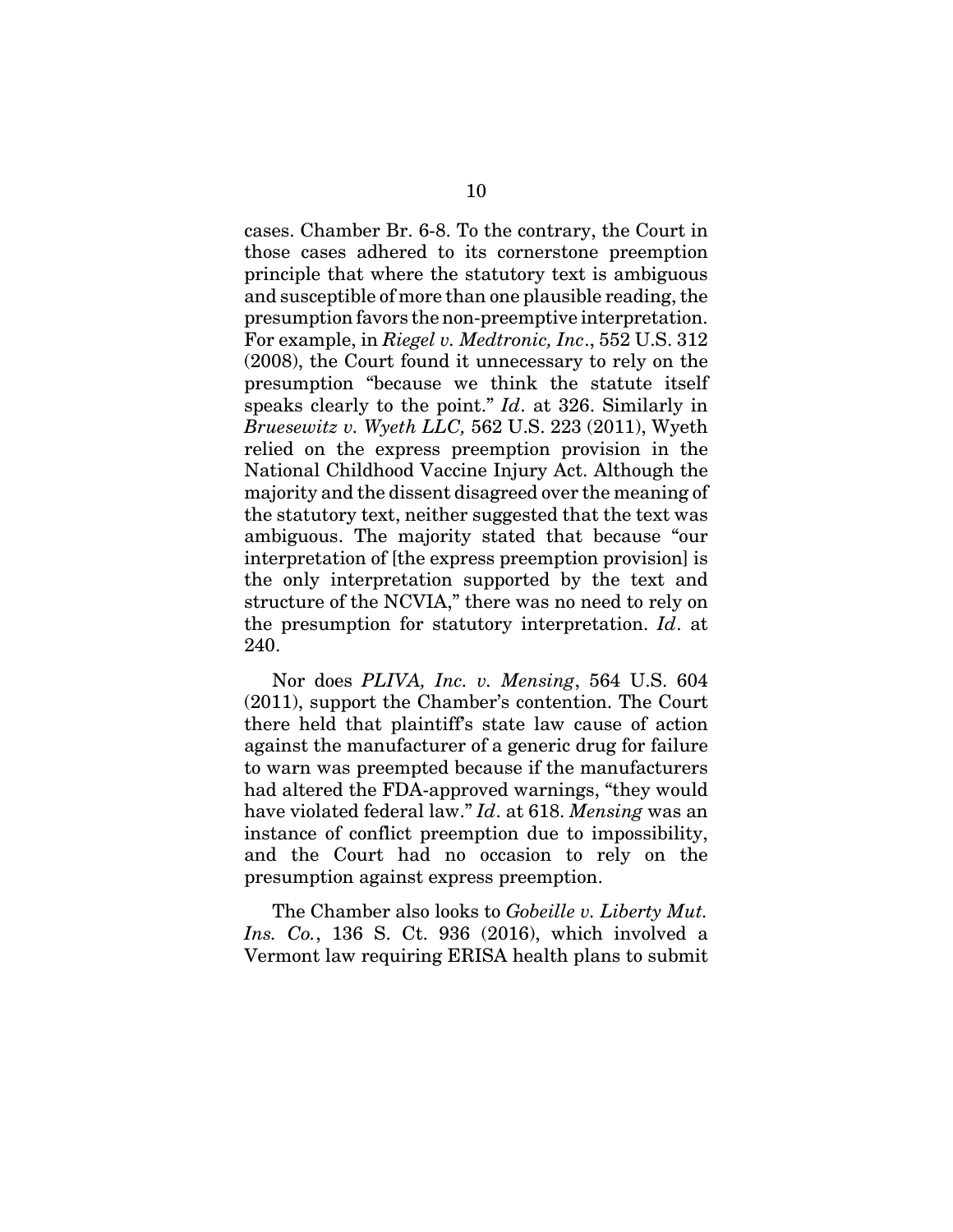cases. Chamber Br. 6-8. To the contrary, the Court in those cases adhered to its cornerstone preemption principle that where the statutory text is ambiguous and susceptible of more than one plausible reading, the presumption favors the non-preemptive interpretation. For example, in *Riegel v. Medtronic, Inc*., 552 U.S. 312 (2008), the Court found it unnecessary to rely on the presumption "because we think the statute itself speaks clearly to the point." *Id*. at 326. Similarly in *Bruesewitz v. Wyeth LLC,* 562 U.S. 223 (2011), Wyeth relied on the express preemption provision in the National Childhood Vaccine Injury Act. Although the majority and the dissent disagreed over the meaning of the statutory text, neither suggested that the text was ambiguous. The majority stated that because "our interpretation of [the express preemption provision] is the only interpretation supported by the text and structure of the NCVIA," there was no need to rely on the presumption for statutory interpretation. *Id*. at 240.

Nor does *PLIVA, Inc. v. Mensing*, 564 U.S. 604 (2011), support the Chamber's contention. The Court there held that plaintiff's state law cause of action against the manufacturer of a generic drug for failure to warn was preempted because if the manufacturers had altered the FDA-approved warnings, "they would have violated federal law." *Id*. at 618. *Mensing* was an instance of conflict preemption due to impossibility, and the Court had no occasion to rely on the presumption against express preemption.

The Chamber also looks to *Gobeille v. Liberty Mut. Ins. Co.*, 136 S. Ct. 936 (2016), which involved a Vermont law requiring ERISA health plans to submit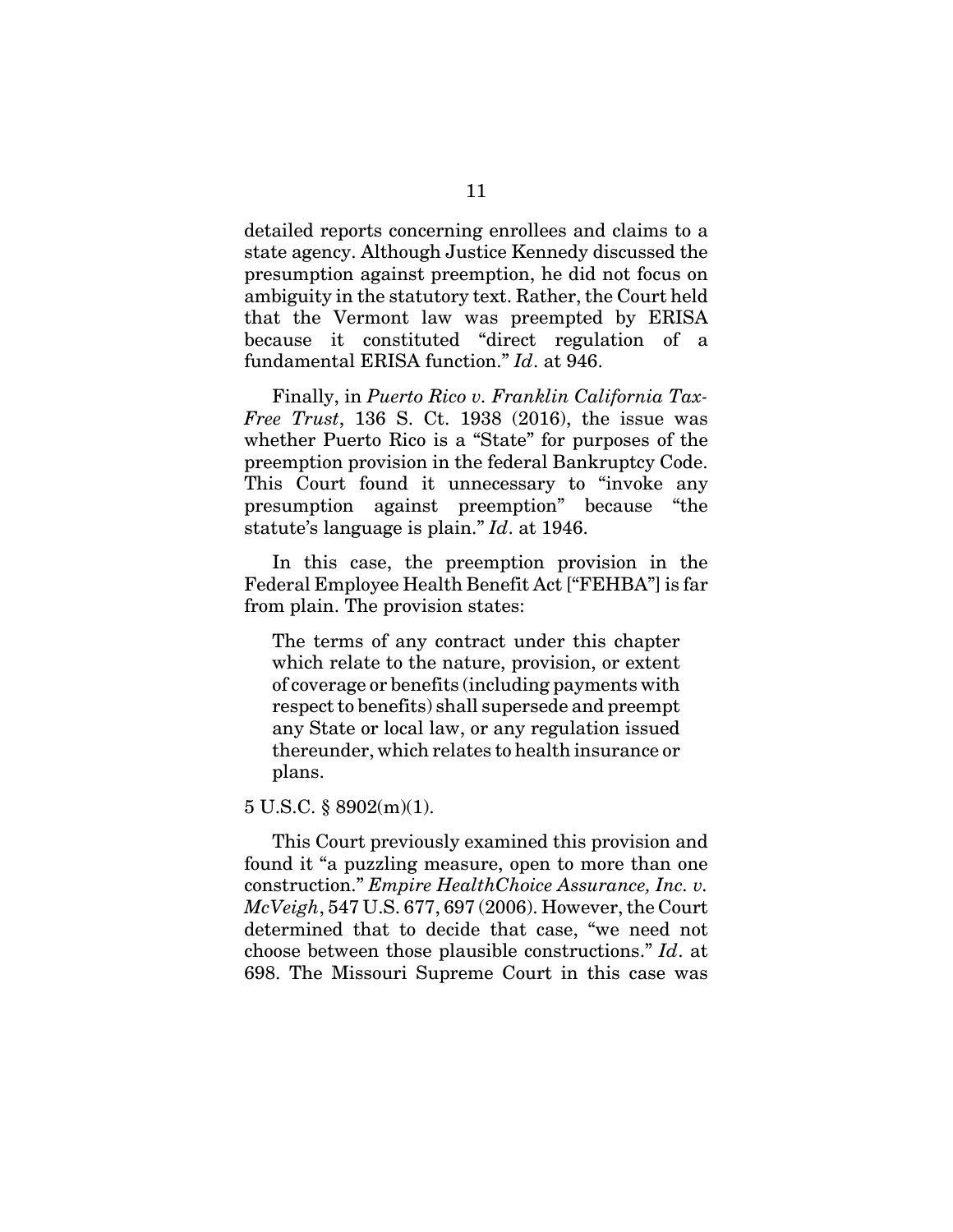detailed reports concerning enrollees and claims to a state agency. Although Justice Kennedy discussed the presumption against preemption, he did not focus on ambiguity in the statutory text. Rather, the Court held that the Vermont law was preempted by ERISA because it constituted "direct regulation of a fundamental ERISA function." *Id*. at 946.

Finally, in *Puerto Rico v. Franklin California Tax-Free Trust*, 136 S. Ct. 1938 (2016), the issue was whether Puerto Rico is a "State" for purposes of the preemption provision in the federal Bankruptcy Code. This Court found it unnecessary to "invoke any presumption against preemption" because "the statute's language is plain." *Id*. at 1946.

In this case, the preemption provision in the Federal Employee Health Benefit Act ["FEHBA"] is far from plain. The provision states:

The terms of any contract under this chapter which relate to the nature, provision, or extent of coverage or benefits (including payments with respect to benefits) shall supersede and preempt any State or local law, or any regulation issued thereunder, which relates to health insurance or plans.

5 U.S.C. § 8902(m)(1).

This Court previously examined this provision and found it "a puzzling measure, open to more than one construction." *Empire HealthChoice Assurance, Inc. v. McVeigh*, 547 U.S. 677, 697 (2006). However, the Court determined that to decide that case, "we need not choose between those plausible constructions." *Id*. at 698. The Missouri Supreme Court in this case was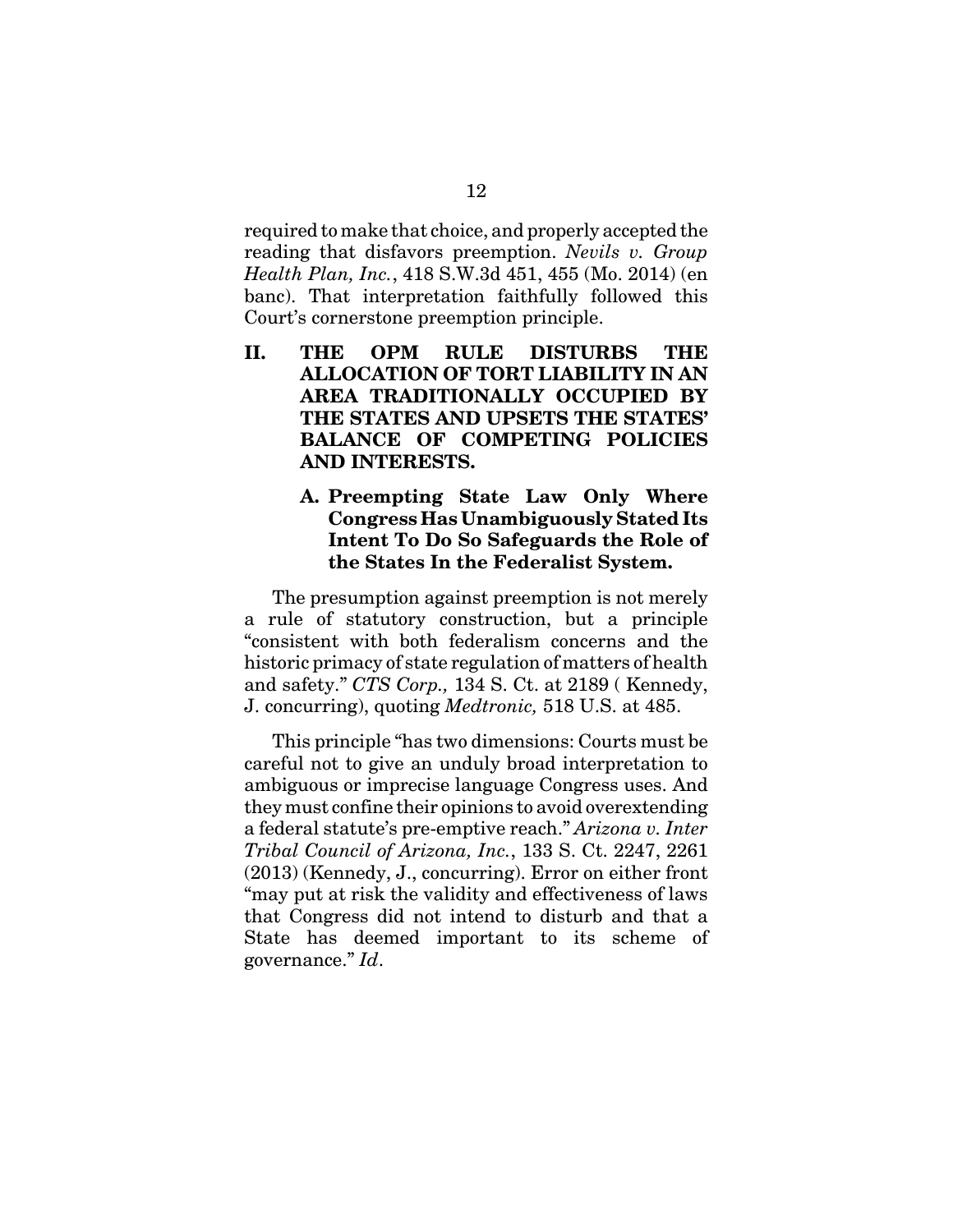required to make that choice, and properly accepted the reading that disfavors preemption. *Nevils v. Group Health Plan, Inc.*, 418 S.W.3d 451, 455 (Mo. 2014) (en banc). That interpretation faithfully followed this Court's cornerstone preemption principle.

- **II. THE OPM RULE DISTURBS THE ALLOCATION OF TORT LIABILITY IN AN AREA TRADITIONALLY OCCUPIED BY THE STATES AND UPSETS THE STATES' BALANCE OF COMPETING POLICIES AND INTERESTS.**
	- **A. Preempting State Law Only Where Congress Has Unambiguously Stated Its Intent To Do So Safeguards the Role of the States In the Federalist System.**

The presumption against preemption is not merely a rule of statutory construction, but a principle "consistent with both federalism concerns and the historic primacy of state regulation of matters of health and safety." *CTS Corp.,* 134 S. Ct. at 2189 ( Kennedy, J. concurring), quoting *Medtronic,* 518 U.S. at 485.

This principle "has two dimensions: Courts must be careful not to give an unduly broad interpretation to ambiguous or imprecise language Congress uses. And they must confine their opinions to avoid overextending a federal statute's pre-emptive reach." *Arizona v. Inter Tribal Council of Arizona, Inc.*, 133 S. Ct. 2247, 2261 (2013) (Kennedy, J., concurring). Error on either front "may put at risk the validity and effectiveness of laws that Congress did not intend to disturb and that a State has deemed important to its scheme of governance." *Id*.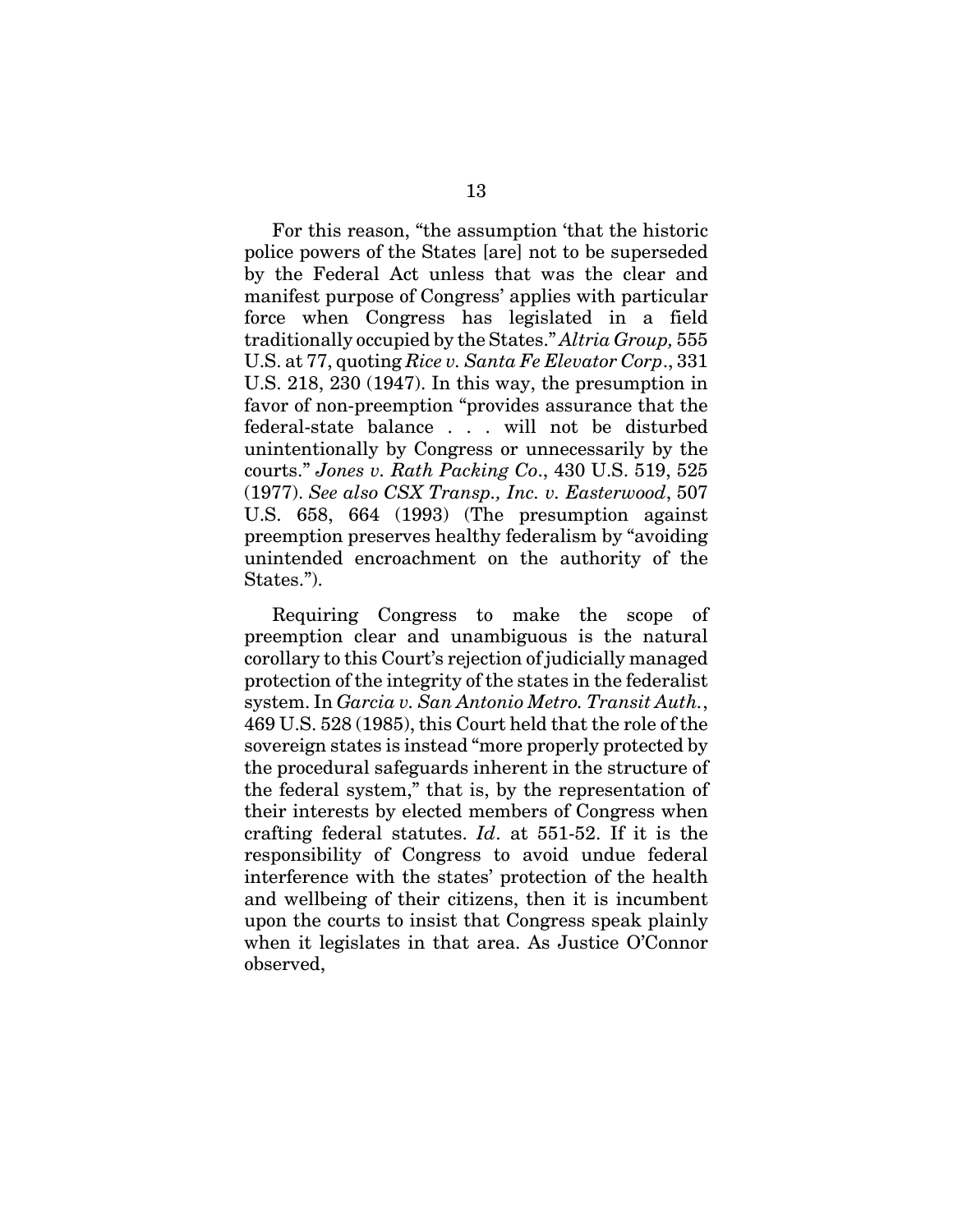For this reason, "the assumption 'that the historic police powers of the States [are] not to be superseded by the Federal Act unless that was the clear and manifest purpose of Congress' applies with particular force when Congress has legislated in a field traditionally occupied by the States." *Altria Group,* 555 U.S. at 77, quoting *Rice v. Santa Fe Elevator Corp*., 331 U.S. 218, 230 (1947). In this way, the presumption in favor of non-preemption "provides assurance that the federal-state balance . . . will not be disturbed unintentionally by Congress or unnecessarily by the courts." *Jones v. Rath Packing Co*., 430 U.S. 519, 525 (1977). *See also CSX Transp., Inc. v. Easterwood*, 507 U.S. 658, 664 (1993) (The presumption against preemption preserves healthy federalism by "avoiding unintended encroachment on the authority of the States.").

Requiring Congress to make the scope of preemption clear and unambiguous is the natural corollary to this Court's rejection of judicially managed protection of the integrity of the states in the federalist system. In *Garcia v. San Antonio Metro. Transit Auth.*, 469 U.S. 528 (1985), this Court held that the role of the sovereign states is instead "more properly protected by the procedural safeguards inherent in the structure of the federal system," that is, by the representation of their interests by elected members of Congress when crafting federal statutes. *Id*. at 551-52. If it is the responsibility of Congress to avoid undue federal interference with the states' protection of the health and wellbeing of their citizens, then it is incumbent upon the courts to insist that Congress speak plainly when it legislates in that area. As Justice O'Connor observed,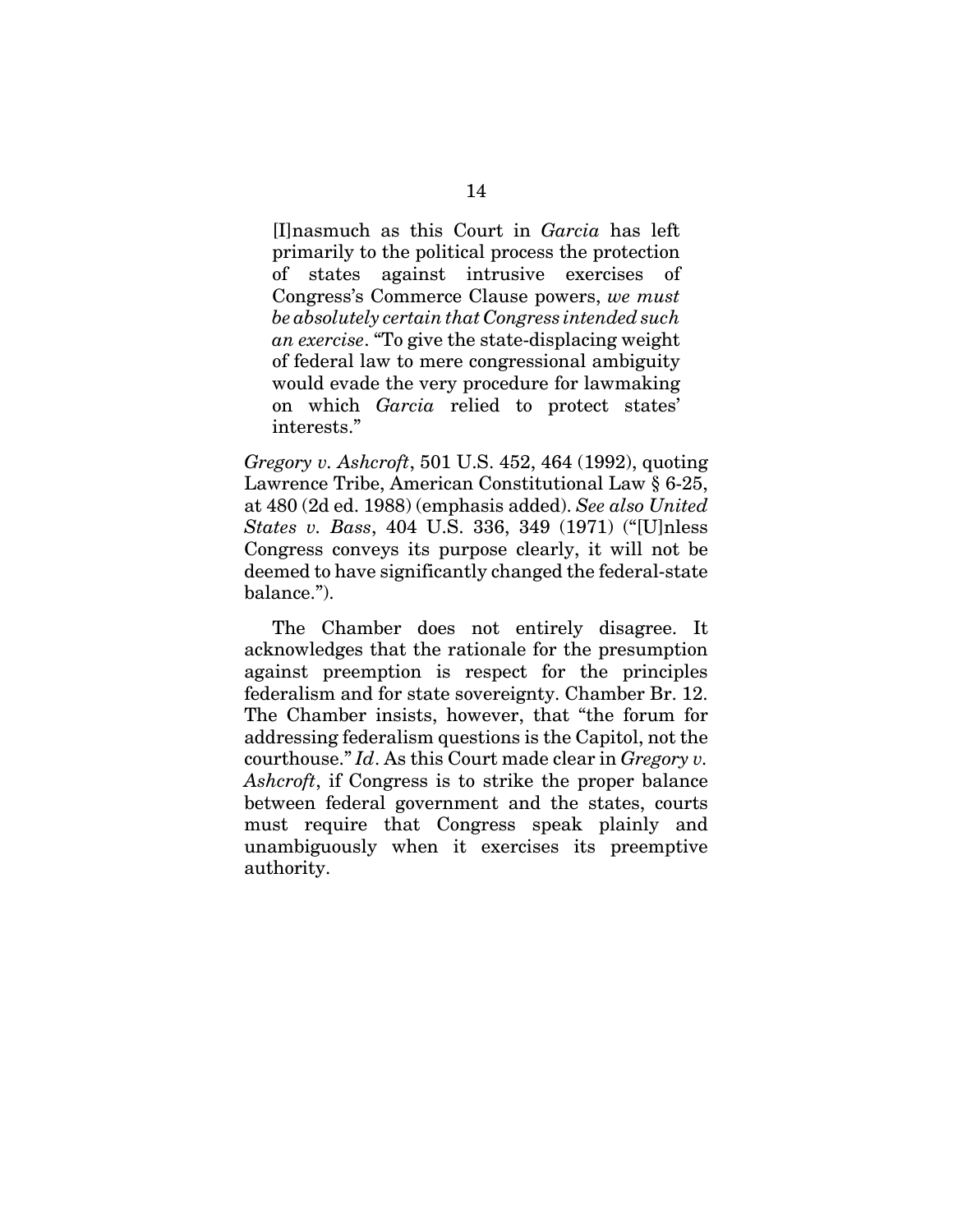[I]nasmuch as this Court in *Garcia* has left primarily to the political process the protection of states against intrusive exercises of Congress's Commerce Clause powers, *we must be absolutely certain that Congress intended such an exercise*. "To give the state-displacing weight of federal law to mere congressional ambiguity would evade the very procedure for lawmaking on which *Garcia* relied to protect states' interests."

*Gregory v. Ashcroft*, 501 U.S. 452, 464 (1992), quoting Lawrence Tribe, American Constitutional Law § 6-25, at 480 (2d ed. 1988) (emphasis added). *See also United States v. Bass*, 404 U.S. 336, 349 (1971) ("[U]nless Congress conveys its purpose clearly, it will not be deemed to have significantly changed the federal-state balance.").

The Chamber does not entirely disagree. It acknowledges that the rationale for the presumption against preemption is respect for the principles federalism and for state sovereignty. Chamber Br. 12. The Chamber insists, however, that "the forum for addressing federalism questions is the Capitol, not the courthouse." *Id*. As this Court made clear in *Gregory v. Ashcroft*, if Congress is to strike the proper balance between federal government and the states, courts must require that Congress speak plainly and unambiguously when it exercises its preemptive authority.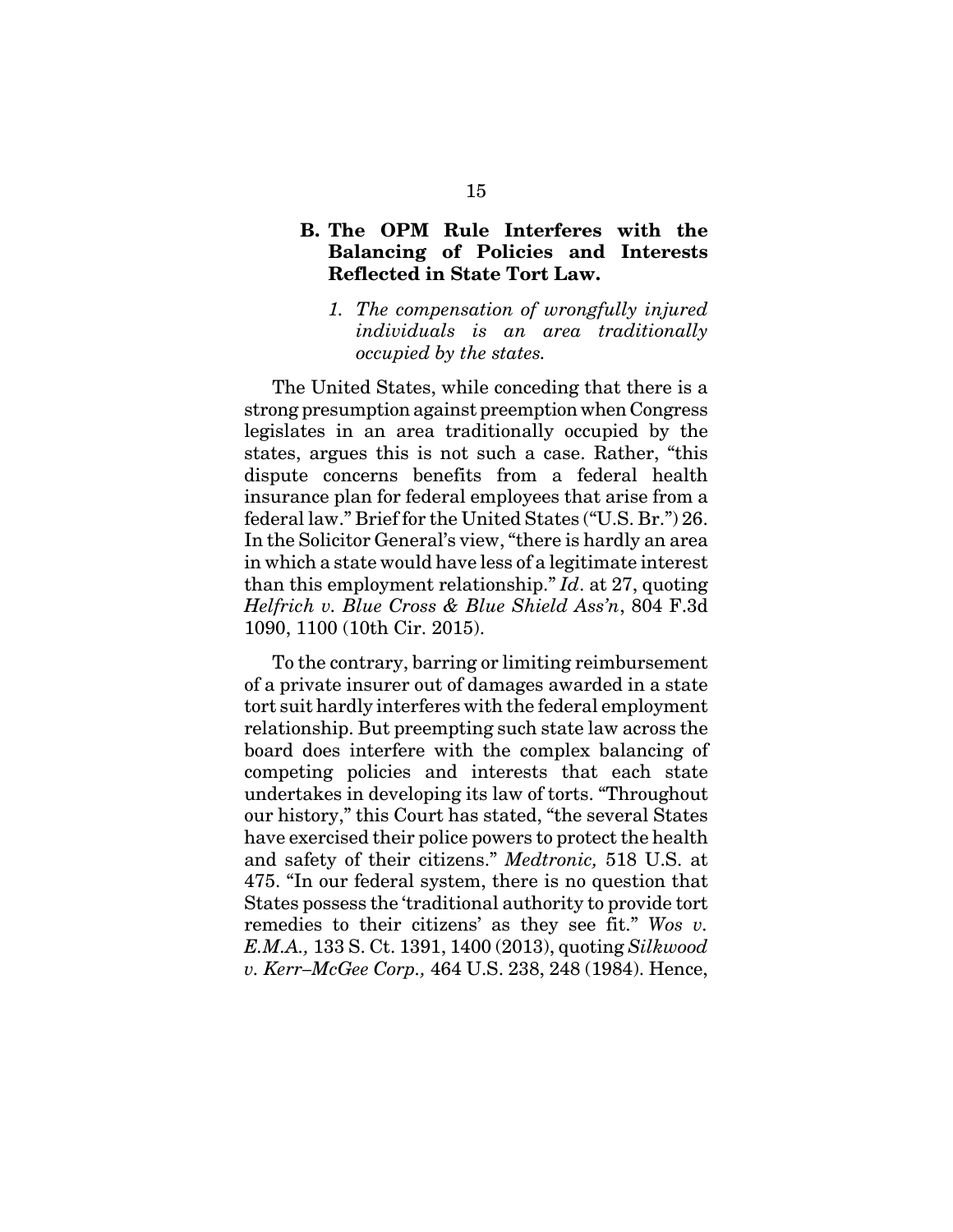# **B. The OPM Rule Interferes with the Balancing of Policies and Interests Reflected in State Tort Law.**

*1. The compensation of wrongfully injured individuals is an area traditionally occupied by the states.*

The United States, while conceding that there is a strong presumption against preemption when Congress legislates in an area traditionally occupied by the states, argues this is not such a case. Rather, "this dispute concerns benefits from a federal health insurance plan for federal employees that arise from a federal law." Brief for the United States ("U.S. Br.") 26. In the Solicitor General's view, "there is hardly an area in which a state would have less of a legitimate interest than this employment relationship." *Id*. at 27, quoting *Helfrich v. Blue Cross & Blue Shield Ass'n*, 804 F.3d 1090, 1100 (10th Cir. 2015).

To the contrary, barring or limiting reimbursement of a private insurer out of damages awarded in a state tort suit hardly interferes with the federal employment relationship. But preempting such state law across the board does interfere with the complex balancing of competing policies and interests that each state undertakes in developing its law of torts. "Throughout our history," this Court has stated, "the several States have exercised their police powers to protect the health and safety of their citizens." *Medtronic,* 518 U.S. at 475. "In our federal system, there is no question that States possess the 'traditional authority to provide tort remedies to their citizens' as they see fit." *Wos v. E.M.A.,* 133 S. Ct. 1391, 1400 (2013), quoting *Silkwood v. Kerr–McGee Corp.,* 464 U.S. 238, 248 (1984). Hence,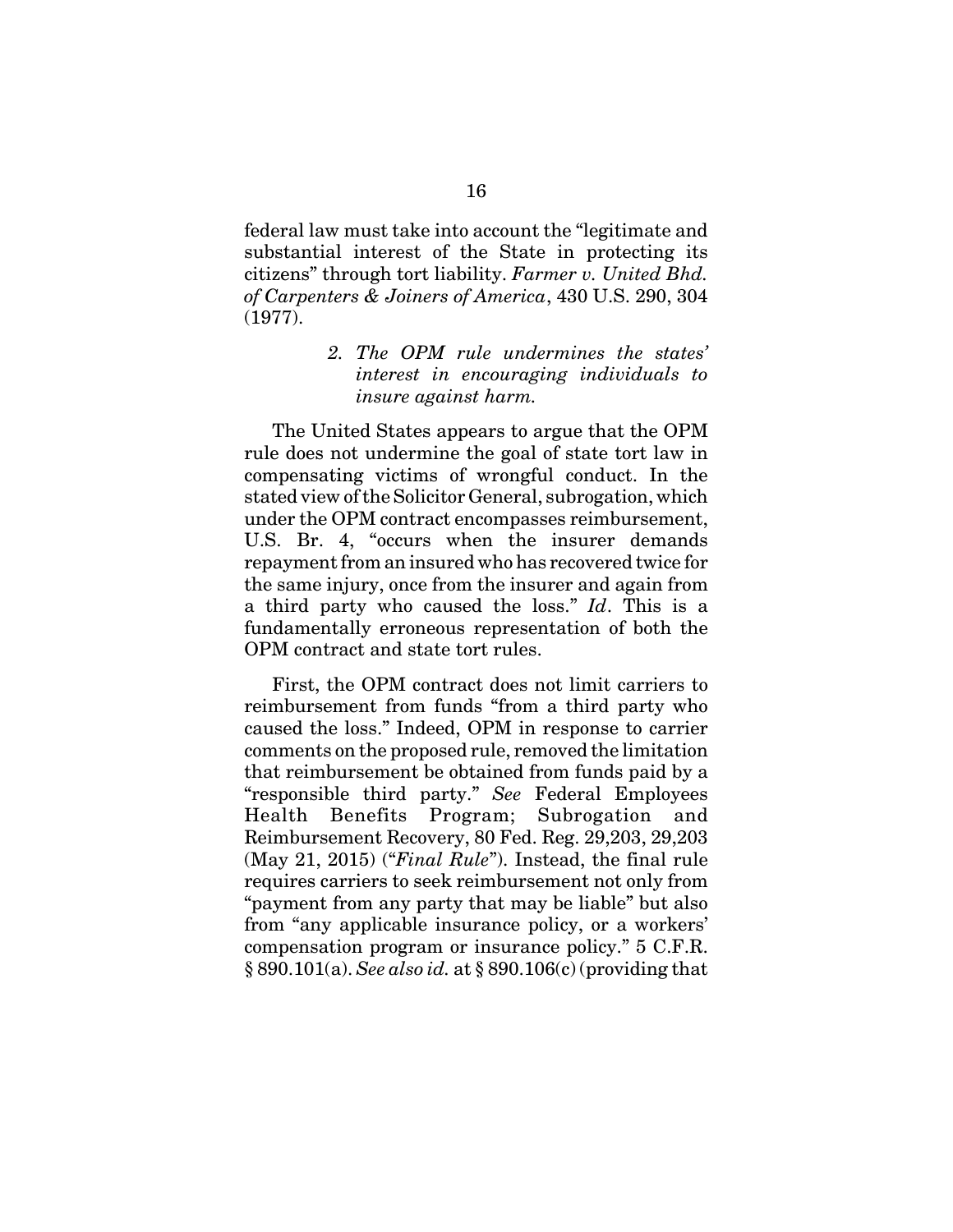federal law must take into account the "legitimate and substantial interest of the State in protecting its citizens" through tort liability. *Farmer v. United Bhd. of Carpenters & Joiners of America*, 430 U.S. 290, 304 (1977).

# *2. The OPM rule undermines the states' interest in encouraging individuals to insure against harm.*

The United States appears to argue that the OPM rule does not undermine the goal of state tort law in compensating victims of wrongful conduct. In the stated view of the Solicitor General, subrogation, which under the OPM contract encompasses reimbursement, U.S. Br. 4, "occurs when the insurer demands repayment from an insured who has recovered twice for the same injury, once from the insurer and again from a third party who caused the loss." *Id*. This is a fundamentally erroneous representation of both the OPM contract and state tort rules.

First, the OPM contract does not limit carriers to reimbursement from funds "from a third party who caused the loss." Indeed, OPM in response to carrier comments on the proposed rule, removed the limitation that reimbursement be obtained from funds paid by a "responsible third party." *See* Federal Employees Health Benefits Program; Subrogation and Reimbursement Recovery, 80 Fed. Reg. 29,203, 29,203 (May 21, 2015) ("*Final Rule*"). Instead, the final rule requires carriers to seek reimbursement not only from "payment from any party that may be liable" but also from "any applicable insurance policy, or a workers' compensation program or insurance policy." 5 C.F.R. § 890.101(a). *See also id.* at § 890.106(c) (providing that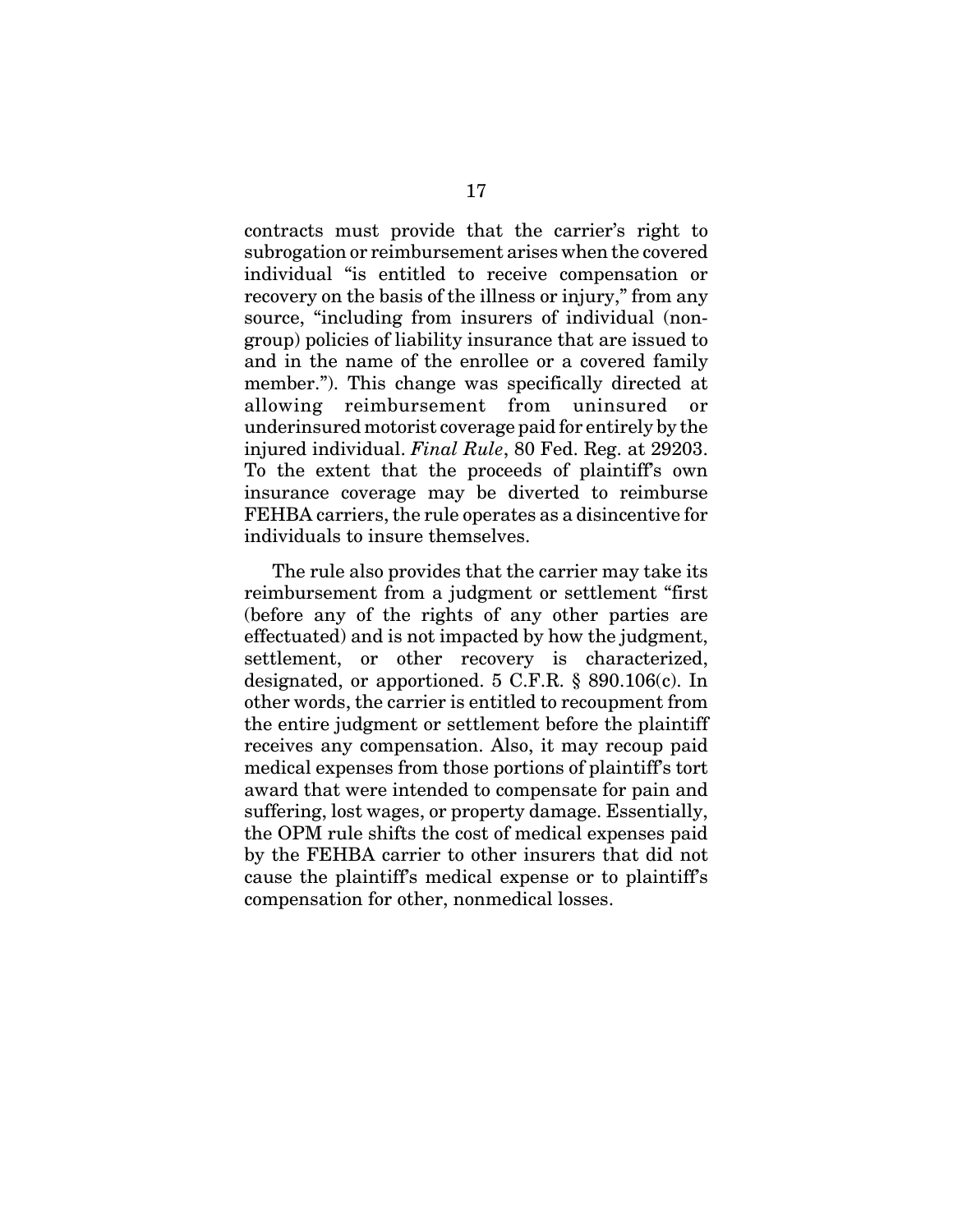contracts must provide that the carrier's right to subrogation or reimbursement arises when the covered individual "is entitled to receive compensation or recovery on the basis of the illness or injury," from any source, "including from insurers of individual (nongroup) policies of liability insurance that are issued to and in the name of the enrollee or a covered family member."). This change was specifically directed at allowing reimbursement from uninsured or underinsured motorist coverage paid for entirely by the injured individual. *Final Rule*, 80 Fed. Reg. at 29203. To the extent that the proceeds of plaintiff's own insurance coverage may be diverted to reimburse FEHBA carriers, the rule operates as a disincentive for individuals to insure themselves.

The rule also provides that the carrier may take its reimbursement from a judgment or settlement "first (before any of the rights of any other parties are effectuated) and is not impacted by how the judgment, settlement, or other recovery is characterized, designated, or apportioned. 5 C.F.R. § 890.106(c). In other words, the carrier is entitled to recoupment from the entire judgment or settlement before the plaintiff receives any compensation. Also, it may recoup paid medical expenses from those portions of plaintiff's tort award that were intended to compensate for pain and suffering, lost wages, or property damage. Essentially, the OPM rule shifts the cost of medical expenses paid by the FEHBA carrier to other insurers that did not cause the plaintiff's medical expense or to plaintiff's compensation for other, nonmedical losses.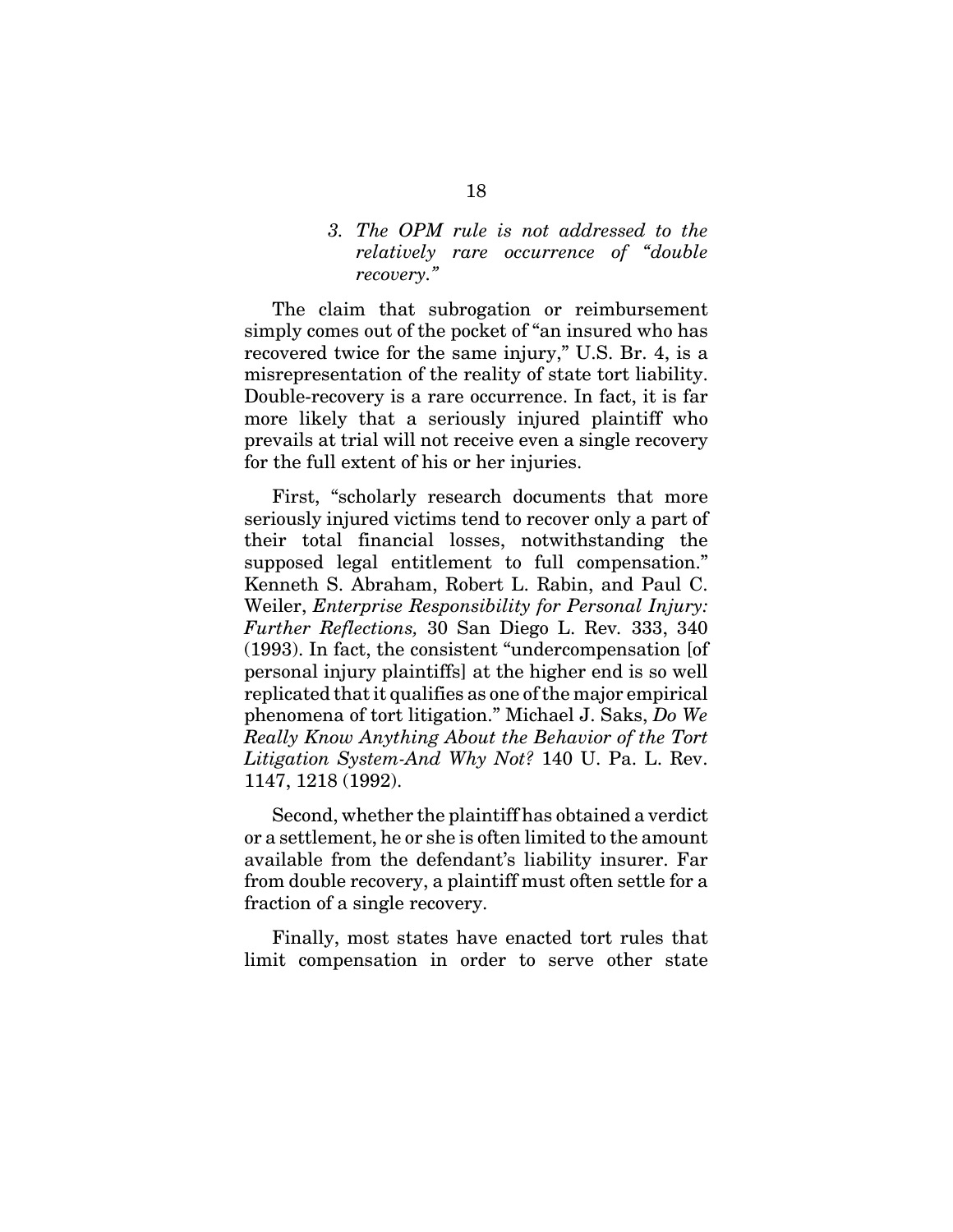## *3. The OPM rule is not addressed to the relatively rare occurrence of "double recovery."*

The claim that subrogation or reimbursement simply comes out of the pocket of "an insured who has recovered twice for the same injury," U.S. Br. 4, is a misrepresentation of the reality of state tort liability. Double-recovery is a rare occurrence. In fact, it is far more likely that a seriously injured plaintiff who prevails at trial will not receive even a single recovery for the full extent of his or her injuries.

First, "scholarly research documents that more seriously injured victims tend to recover only a part of their total financial losses, notwithstanding the supposed legal entitlement to full compensation." Kenneth S. Abraham, Robert L. Rabin, and Paul C. Weiler, *Enterprise Responsibility for Personal Injury: Further Reflections,* 30 San Diego L. Rev*.* 333, 340 (1993). In fact, the consistent "undercompensation [of personal injury plaintiffs] at the higher end is so well replicated that it qualifies as one of the major empirical phenomena of tort litigation." Michael J. Saks, *Do We Really Know Anything About the Behavior of the Tort Litigation System-And Why Not?* 140 U. Pa. L. Rev. 1147, 1218 (1992).

Second, whether the plaintiff has obtained a verdict or a settlement, he or she is often limited to the amount available from the defendant's liability insurer. Far from double recovery, a plaintiff must often settle for a fraction of a single recovery.

Finally, most states have enacted tort rules that limit compensation in order to serve other state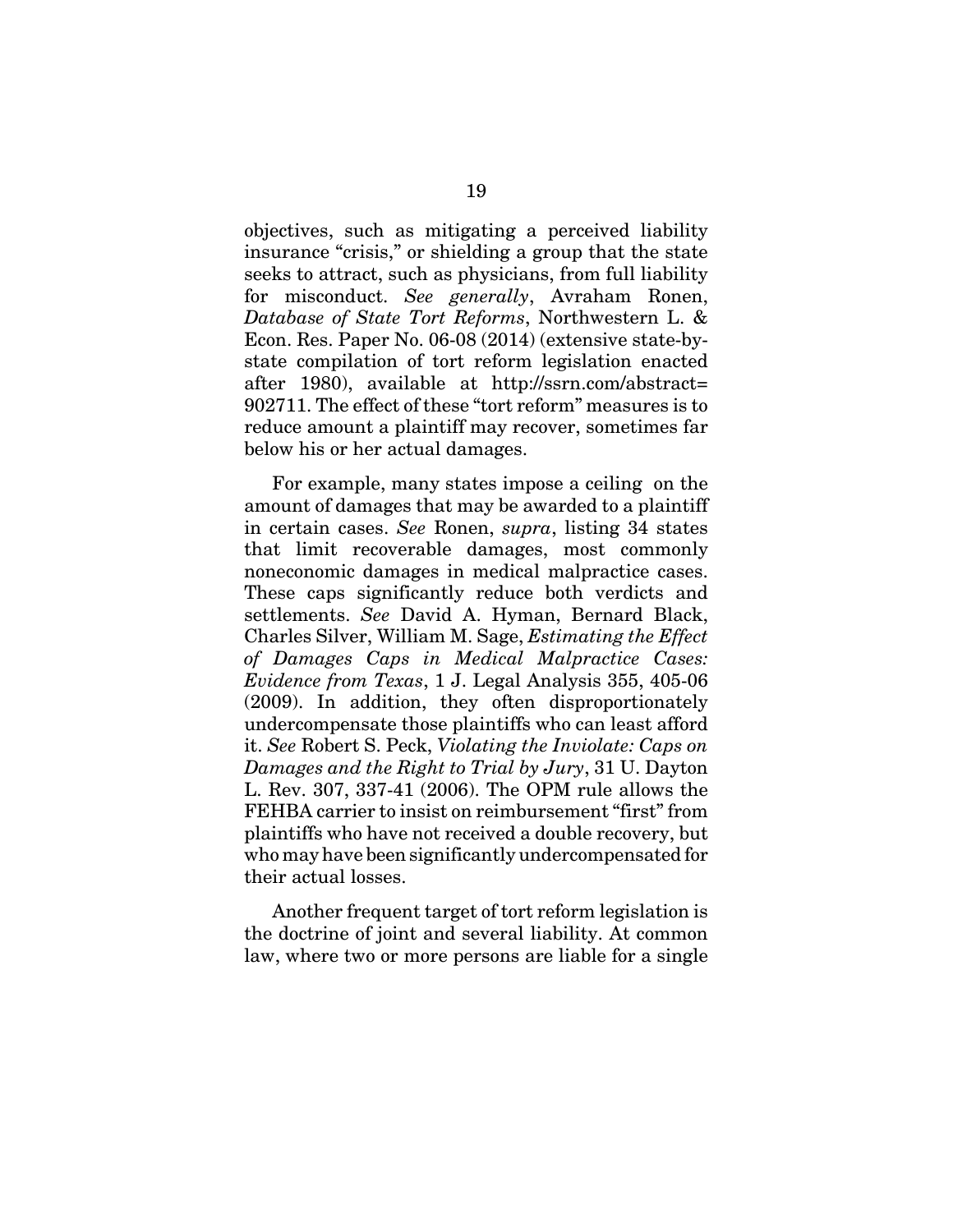objectives, such as mitigating a perceived liability insurance "crisis," or shielding a group that the state seeks to attract, such as physicians, from full liability for misconduct. *See generally*, Avraham Ronen, *Database of State Tort Reforms*, Northwestern L. & Econ. Res. Paper No. 06-08 (2014) (extensive state-bystate compilation of tort reform legislation enacted after 1980), available at http://ssrn.com/abstract= 902711. The effect of these "tort reform" measures is to reduce amount a plaintiff may recover, sometimes far below his or her actual damages.

For example, many states impose a ceiling on the amount of damages that may be awarded to a plaintiff in certain cases. *See* Ronen, *supra*, listing 34 states that limit recoverable damages, most commonly noneconomic damages in medical malpractice cases. These caps significantly reduce both verdicts and settlements. *See* David A. Hyman, Bernard Black, Charles Silver, William M. Sage, *Estimating the Effect of Damages Caps in Medical Malpractice Cases: Evidence from Texas*, 1 J. Legal Analysis 355, 405-06 (2009). In addition, they often disproportionately undercompensate those plaintiffs who can least afford it. *See* Robert S. Peck, *Violating the Inviolate: Caps on Damages and the Right to Trial by Jury*, 31 U. Dayton L. Rev. 307, 337-41 (2006). The OPM rule allows the FEHBA carrier to insist on reimbursement "first" from plaintiffs who have not received a double recovery, but who may have been significantly undercompensated for their actual losses.

Another frequent target of tort reform legislation is the doctrine of joint and several liability. At common law, where two or more persons are liable for a single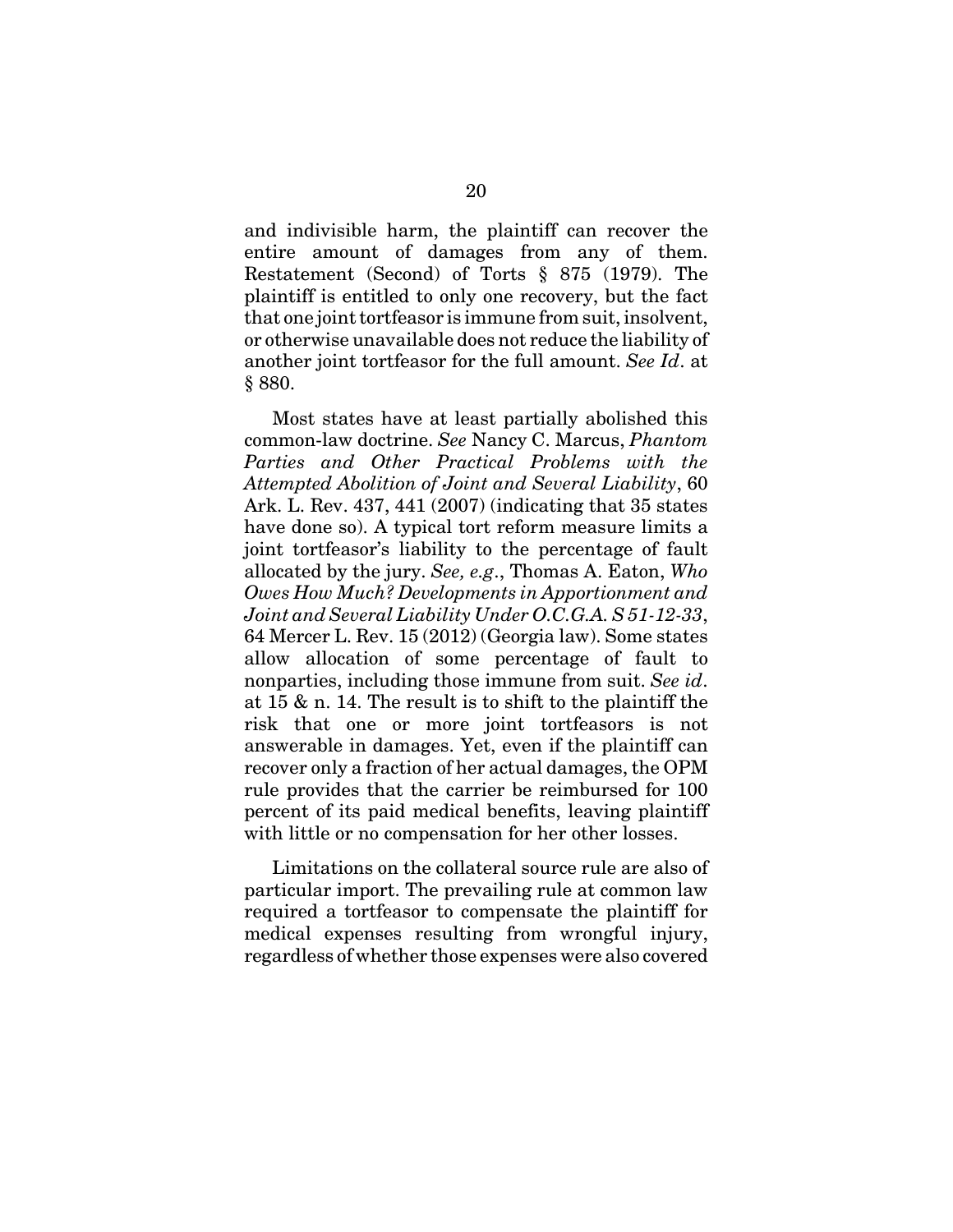and indivisible harm, the plaintiff can recover the entire amount of damages from any of them. Restatement (Second) of Torts § 875 (1979). The plaintiff is entitled to only one recovery, but the fact that one joint tortfeasor is immune from suit, insolvent, or otherwise unavailable does not reduce the liability of another joint tortfeasor for the full amount. *See Id*. at § 880.

Most states have at least partially abolished this common-law doctrine. *See* Nancy C. Marcus, *Phantom Parties and Other Practical Problems with the Attempted Abolition of Joint and Several Liability*, 60 Ark. L. Rev. 437, 441 (2007) (indicating that 35 states have done so). A typical tort reform measure limits a joint tortfeasor's liability to the percentage of fault allocated by the jury. *See, e.g*., Thomas A. Eaton, *Who Owes How Much? Developments in Apportionment and Joint and Several Liability Under O.C.G.A. S 51-12-33*, 64 Mercer L. Rev. 15 (2012) (Georgia law). Some states allow allocation of some percentage of fault to nonparties, including those immune from suit. *See id*. at 15 & n. 14. The result is to shift to the plaintiff the risk that one or more joint tortfeasors is not answerable in damages. Yet, even if the plaintiff can recover only a fraction of her actual damages, the OPM rule provides that the carrier be reimbursed for 100 percent of its paid medical benefits, leaving plaintiff with little or no compensation for her other losses.

Limitations on the collateral source rule are also of particular import. The prevailing rule at common law required a tortfeasor to compensate the plaintiff for medical expenses resulting from wrongful injury, regardless of whether those expenses were also covered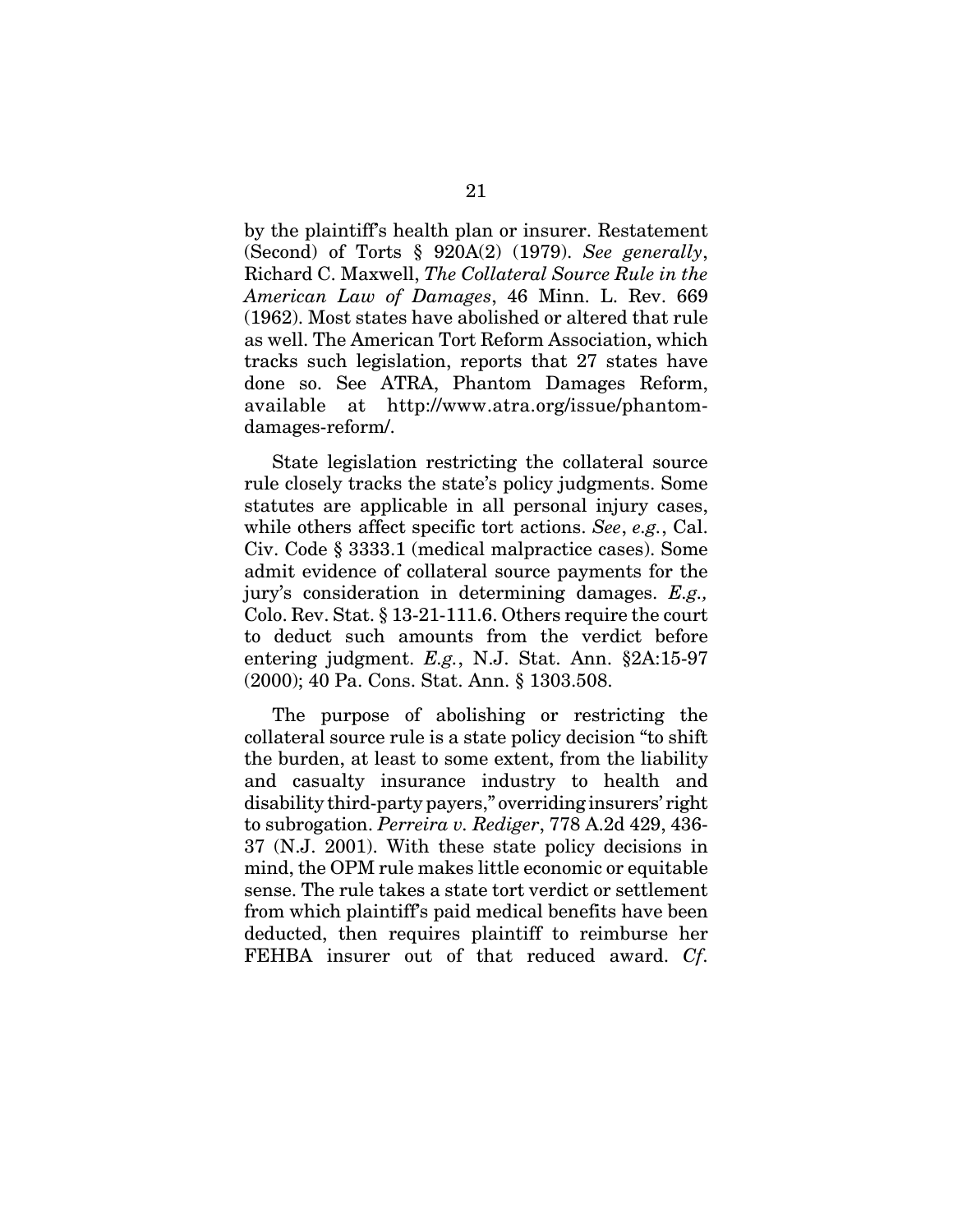by the plaintiff's health plan or insurer. Restatement (Second) of Torts § 920A(2) (1979). *See generally*, Richard C. Maxwell, *The Collateral Source Rule in the American Law of Damages*, 46 Minn. L. Rev. 669 (1962). Most states have abolished or altered that rule as well. The American Tort Reform Association, which tracks such legislation, reports that 27 states have done so. See ATRA, Phantom Damages Reform, available at http://www.atra.org/issue/phantomdamages-reform/.

State legislation restricting the collateral source rule closely tracks the state's policy judgments. Some statutes are applicable in all personal injury cases, while others affect specific tort actions. *See*, *e.g.*, Cal. Civ. Code § 3333.1 (medical malpractice cases). Some admit evidence of collateral source payments for the jury's consideration in determining damages. *E.g.,* Colo. Rev. Stat. § 13-21-111.6. Others require the court to deduct such amounts from the verdict before entering judgment. *E.g.*, N.J. Stat. Ann. §2A:15-97 (2000); 40 Pa. Cons. Stat. Ann. § 1303.508.

The purpose of abolishing or restricting the collateral source rule is a state policy decision "to shift the burden, at least to some extent, from the liability and casualty insurance industry to health and disability third-party payers," overriding insurers' right to subrogation. *Perreira v. Rediger*, 778 A.2d 429, 436- 37 (N.J. 2001). With these state policy decisions in mind, the OPM rule makes little economic or equitable sense. The rule takes a state tort verdict or settlement from which plaintiff's paid medical benefits have been deducted, then requires plaintiff to reimburse her FEHBA insurer out of that reduced award. *Cf*.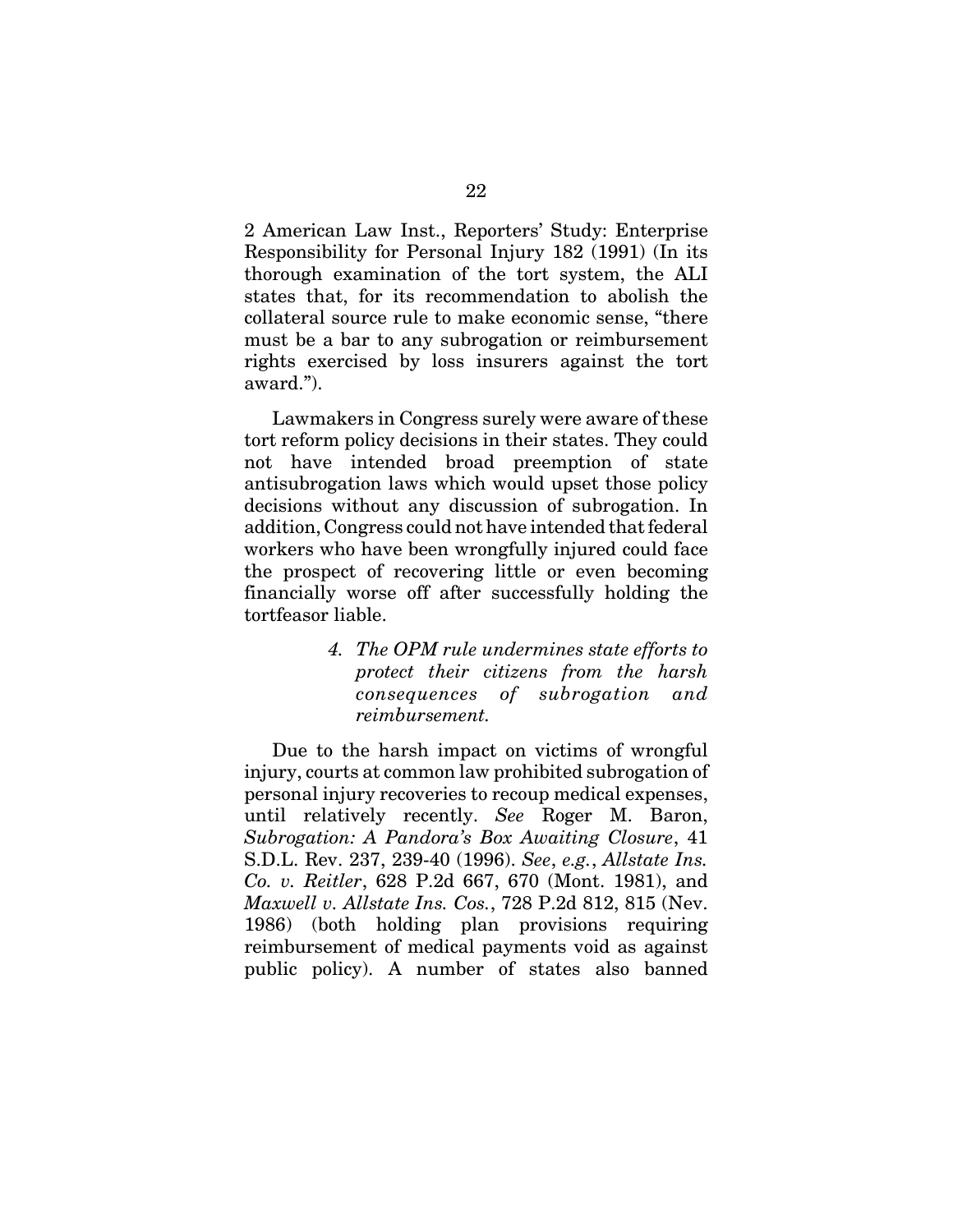2 American Law Inst., Reporters' Study: Enterprise Responsibility for Personal Injury 182 (1991) (In its thorough examination of the tort system, the ALI states that, for its recommendation to abolish the collateral source rule to make economic sense, "there must be a bar to any subrogation or reimbursement rights exercised by loss insurers against the tort award.").

Lawmakers in Congress surely were aware of these tort reform policy decisions in their states. They could not have intended broad preemption of state antisubrogation laws which would upset those policy decisions without any discussion of subrogation. In addition, Congress could not have intended that federal workers who have been wrongfully injured could face the prospect of recovering little or even becoming financially worse off after successfully holding the tortfeasor liable.

> *4. The OPM rule undermines state efforts to protect their citizens from the harsh consequences of subrogation and reimbursement.*

Due to the harsh impact on victims of wrongful injury, courts at common law prohibited subrogation of personal injury recoveries to recoup medical expenses, until relatively recently. *See* Roger M. Baron, *Subrogation: A Pandora's Box Awaiting Closure*, 41 S.D.L. Rev. 237, 239-40 (1996). *See*, *e.g.*, *Allstate Ins. Co. v. Reitler*, 628 P.2d 667, 670 (Mont. 1981), and *Maxwell v. Allstate Ins. Cos.*, 728 P.2d 812, 815 (Nev. 1986) (both holding plan provisions requiring reimbursement of medical payments void as against public policy). A number of states also banned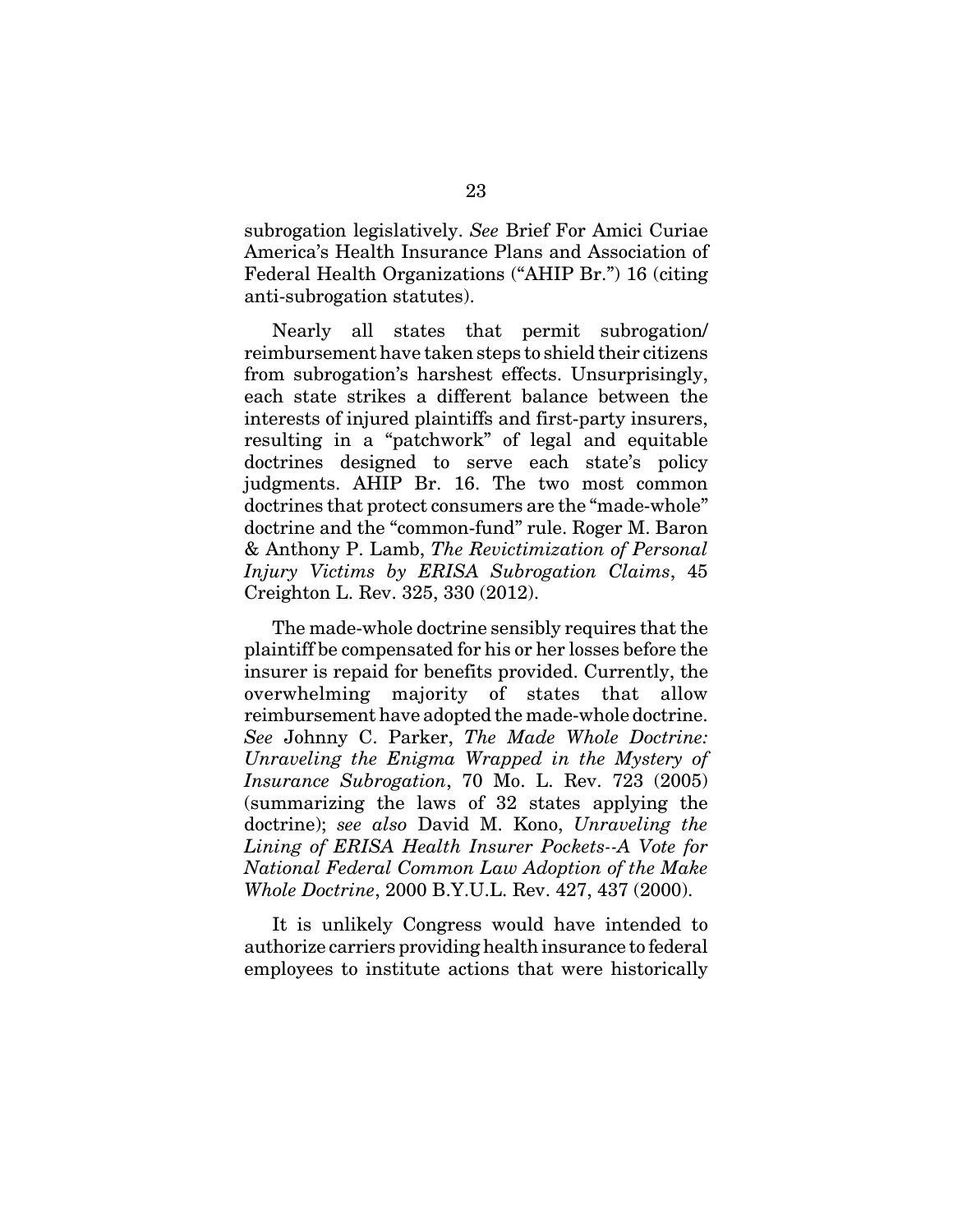subrogation legislatively. *See* Brief For Amici Curiae America's Health Insurance Plans and Association of Federal Health Organizations ("AHIP Br.") 16 (citing anti-subrogation statutes).

Nearly all states that permit subrogation/ reimbursement have taken steps to shield their citizens from subrogation's harshest effects. Unsurprisingly, each state strikes a different balance between the interests of injured plaintiffs and first-party insurers, resulting in a "patchwork" of legal and equitable doctrines designed to serve each state's policy judgments. AHIP Br. 16. The two most common doctrines that protect consumers are the "made-whole" doctrine and the "common-fund" rule. Roger M. Baron & Anthony P. Lamb, *The Revictimization of Personal Injury Victims by ERISA Subrogation Claims*, 45 Creighton L. Rev. 325, 330 (2012).

The made-whole doctrine sensibly requires that the plaintiff be compensated for his or her losses before the insurer is repaid for benefits provided. Currently, the overwhelming majority of states that allow reimbursement have adopted the made-whole doctrine. *See* Johnny C. Parker, *The Made Whole Doctrine: Unraveling the Enigma Wrapped in the Mystery of Insurance Subrogation*, 70 Mo. L. Rev. 723 (2005) (summarizing the laws of 32 states applying the doctrine); *see also* David M. Kono, *Unraveling the Lining of ERISA Health Insurer Pockets--A Vote for National Federal Common Law Adoption of the Make Whole Doctrine*, 2000 B.Y.U.L. Rev. 427, 437 (2000).

It is unlikely Congress would have intended to authorize carriers providing health insurance to federal employees to institute actions that were historically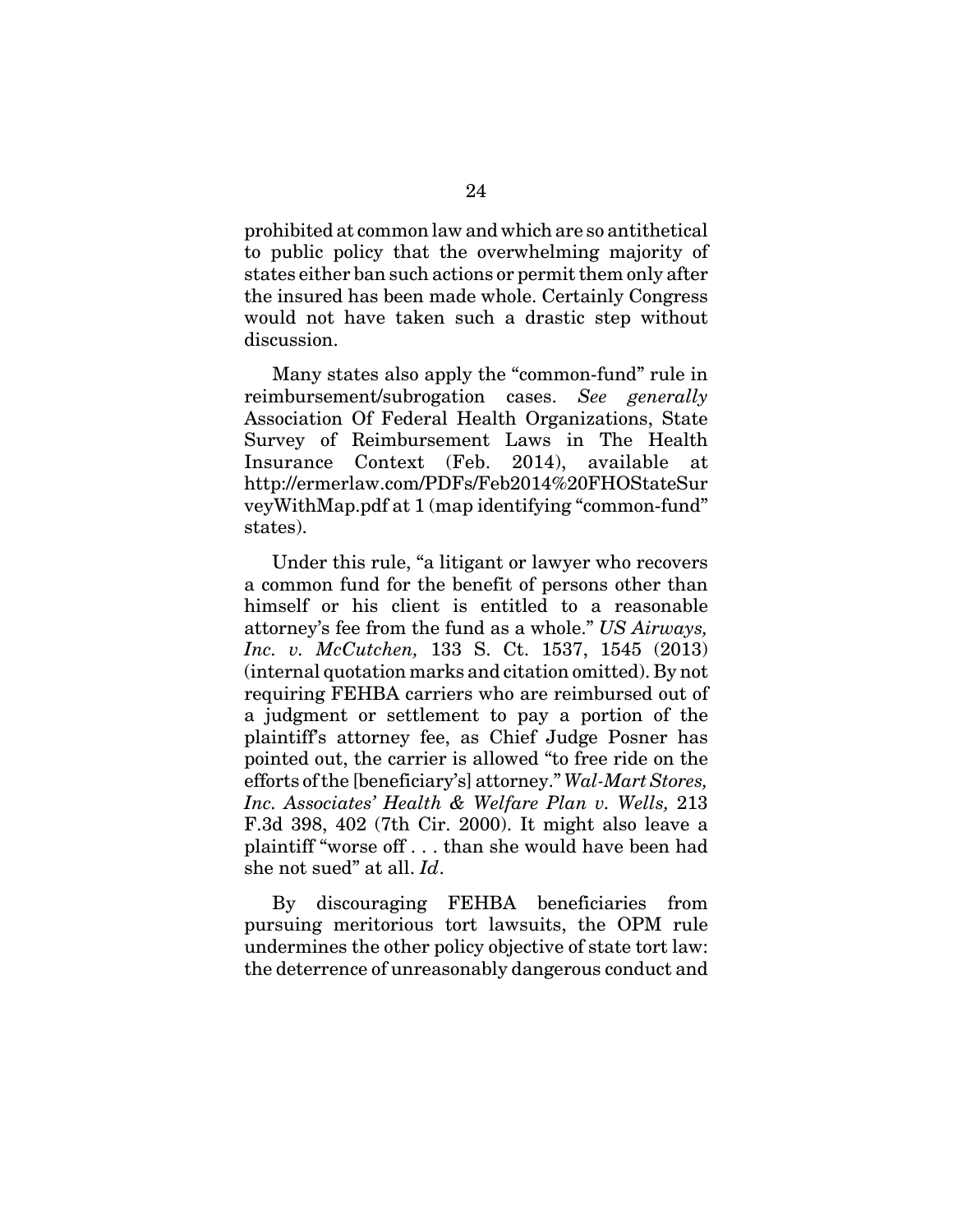prohibited at common law and which are so antithetical to public policy that the overwhelming majority of states either ban such actions or permit them only after the insured has been made whole. Certainly Congress would not have taken such a drastic step without discussion.

Many states also apply the "common-fund" rule in reimbursement/subrogation cases. *See generally* Association Of Federal Health Organizations, State Survey of Reimbursement Laws in The Health Insurance Context (Feb. 2014), available at http://ermerlaw.com/PDFs/Feb2014%20FHOStateSur veyWithMap.pdf at 1 (map identifying "common-fund" states).

Under this rule, "a litigant or lawyer who recovers a common fund for the benefit of persons other than himself or his client is entitled to a reasonable attorney's fee from the fund as a whole." *US Airways, Inc. v. McCutchen,* 133 S. Ct. 1537, 1545 (2013) (internal quotation marks and citation omitted). By not requiring FEHBA carriers who are reimbursed out of a judgment or settlement to pay a portion of the plaintiff's attorney fee, as Chief Judge Posner has pointed out, the carrier is allowed "to free ride on the efforts of the [beneficiary's] attorney." *Wal-Mart Stores, Inc. Associates' Health & Welfare Plan v. Wells,* 213 F.3d 398, 402 (7th Cir. 2000). It might also leave a plaintiff "worse off . . . than she would have been had she not sued" at all. *Id*.

By discouraging FEHBA beneficiaries from pursuing meritorious tort lawsuits, the OPM rule undermines the other policy objective of state tort law: the deterrence of unreasonably dangerous conduct and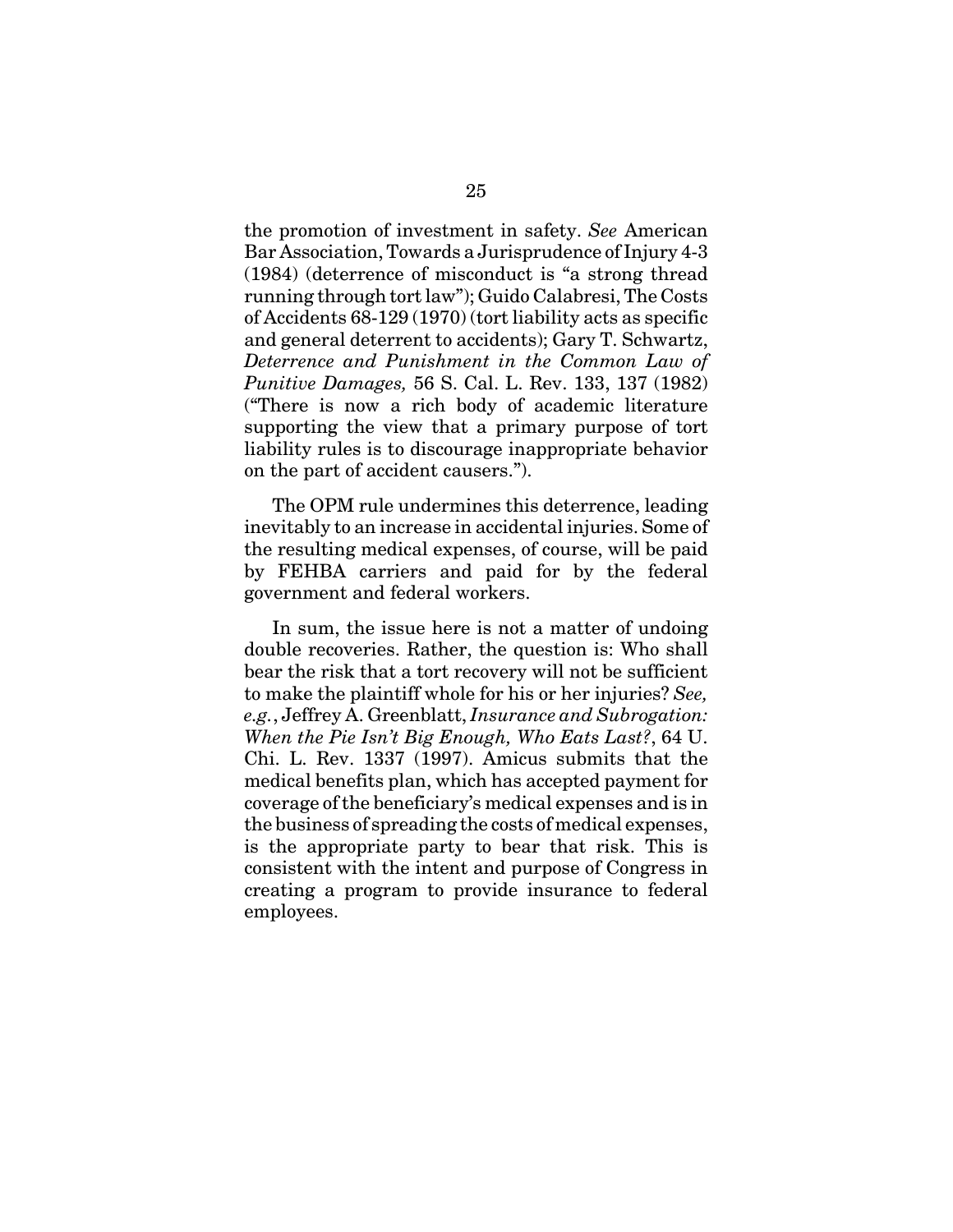the promotion of investment in safety. *See* American Bar Association, Towards a Jurisprudence of Injury 4-3 (1984) (deterrence of misconduct is "a strong thread running through tort law"); Guido Calabresi, The Costs of Accidents 68-129 (1970) (tort liability acts as specific and general deterrent to accidents); Gary T. Schwartz, *Deterrence and Punishment in the Common Law of Punitive Damages,* 56 S. Cal. L. Rev. 133, 137 (1982) ("There is now a rich body of academic literature supporting the view that a primary purpose of tort liability rules is to discourage inappropriate behavior on the part of accident causers.").

The OPM rule undermines this deterrence, leading inevitably to an increase in accidental injuries. Some of the resulting medical expenses, of course, will be paid by FEHBA carriers and paid for by the federal government and federal workers.

In sum, the issue here is not a matter of undoing double recoveries. Rather, the question is: Who shall bear the risk that a tort recovery will not be sufficient to make the plaintiff whole for his or her injuries? *See, e.g.*, Jeffrey A. Greenblatt, *Insurance and Subrogation: When the Pie Isn't Big Enough, Who Eats Last?*, 64 U. Chi. L. Rev. 1337 (1997). Amicus submits that the medical benefits plan, which has accepted payment for coverage of the beneficiary's medical expenses and is in the business of spreading the costs of medical expenses, is the appropriate party to bear that risk. This is consistent with the intent and purpose of Congress in creating a program to provide insurance to federal employees.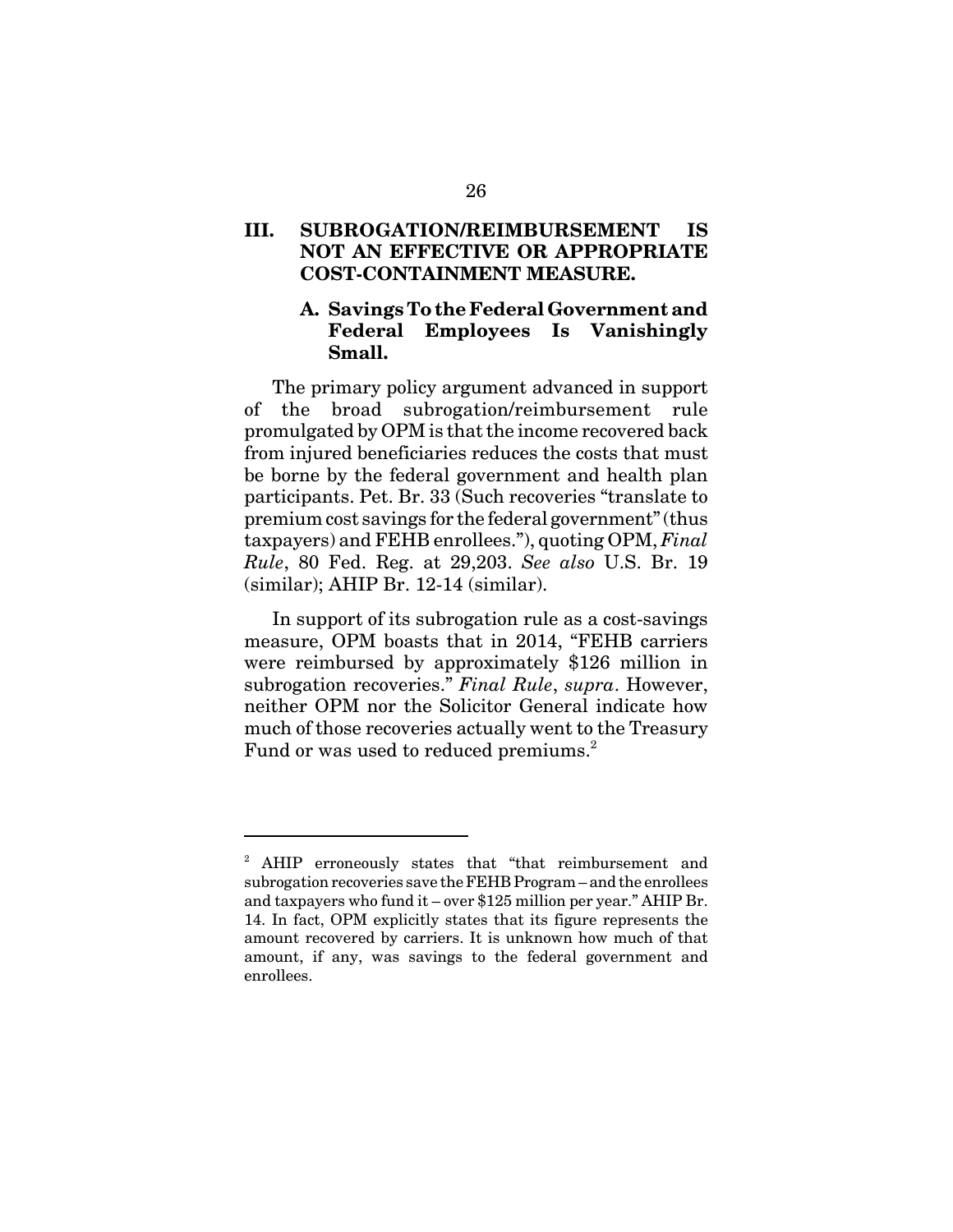# **III. SUBROGATION/REIMBURSEMENT IS NOT AN EFFECTIVE OR APPROPRIATE COST-CONTAINMENT MEASURE.**

# **A. Savings To the Federal Government and Federal Employees Is Vanishingly Small.**

The primary policy argument advanced in support of the broad subrogation/reimbursement rule promulgated by OPM is that the income recovered back from injured beneficiaries reduces the costs that must be borne by the federal government and health plan participants. Pet. Br. 33 (Such recoveries "translate to premium cost savings for the federal government" (thus taxpayers) and FEHB enrollees."), quoting OPM, *Final Rule*, 80 Fed. Reg. at 29,203. *See also* U.S. Br. 19 (similar); AHIP Br. 12-14 (similar).

In support of its subrogation rule as a cost-savings measure, OPM boasts that in 2014, "FEHB carriers were reimbursed by approximately \$126 million in subrogation recoveries." *Final Rule*, *supra*. However, neither OPM nor the Solicitor General indicate how much of those recoveries actually went to the Treasury Fund or was used to reduced premiums.<sup>2</sup>

<sup>&</sup>lt;sup>2</sup> AHIP erroneously states that "that reimbursement and subrogation recoveries save the FEHB Program – and the enrollees and taxpayers who fund it – over \$125 million per year." AHIP Br. 14. In fact, OPM explicitly states that its figure represents the amount recovered by carriers. It is unknown how much of that amount, if any, was savings to the federal government and enrollees.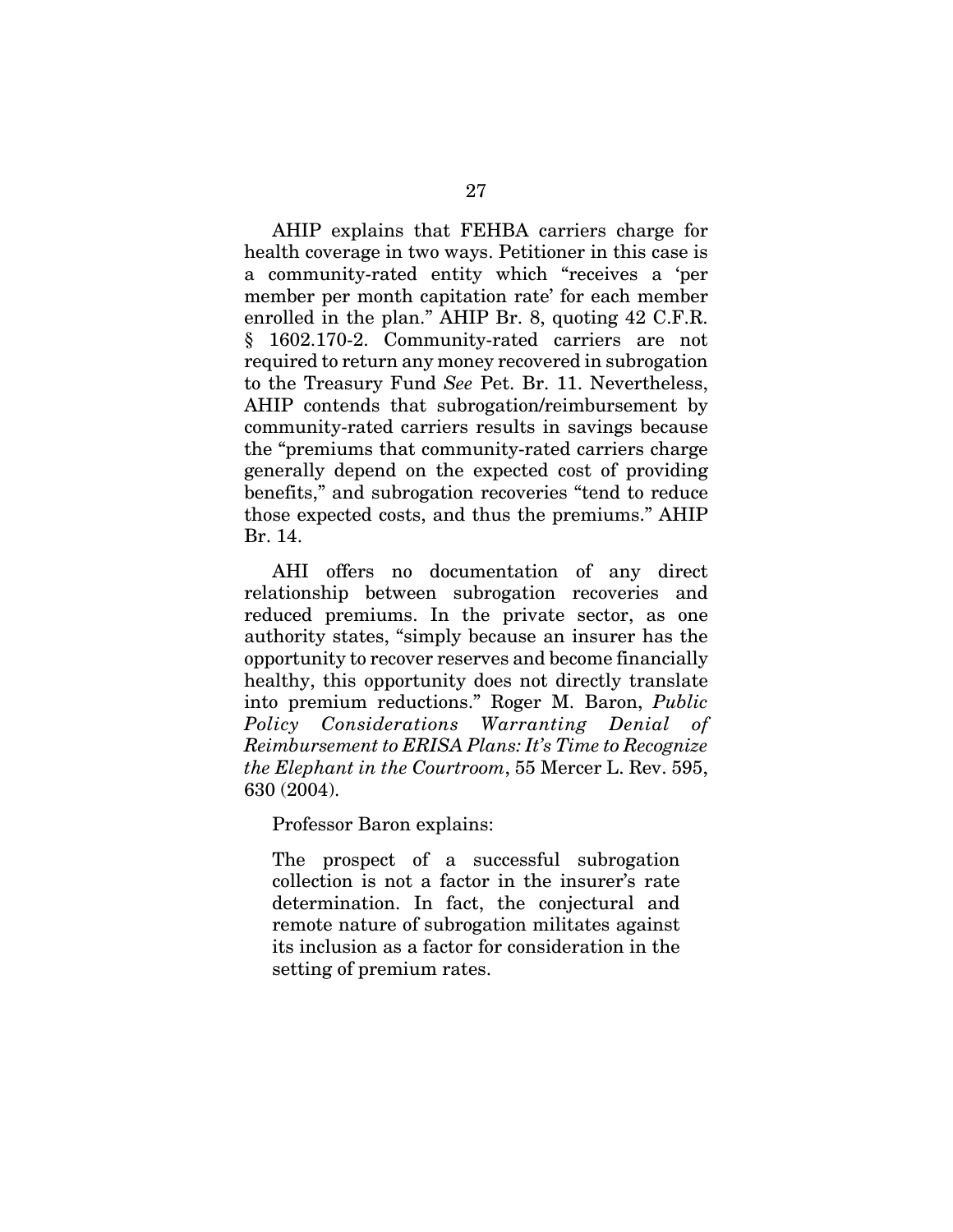AHIP explains that FEHBA carriers charge for health coverage in two ways. Petitioner in this case is a community-rated entity which "receives a 'per member per month capitation rate' for each member enrolled in the plan." AHIP Br. 8, quoting 42 C.F.R. § 1602.170-2. Community-rated carriers are not required to return any money recovered in subrogation to the Treasury Fund *See* Pet. Br. 11. Nevertheless, AHIP contends that subrogation/reimbursement by community-rated carriers results in savings because the "premiums that community-rated carriers charge generally depend on the expected cost of providing benefits," and subrogation recoveries "tend to reduce those expected costs, and thus the premiums." AHIP Br. 14.

AHI offers no documentation of any direct relationship between subrogation recoveries and reduced premiums. In the private sector, as one authority states, "simply because an insurer has the opportunity to recover reserves and become financially healthy, this opportunity does not directly translate into premium reductions." Roger M. Baron, *Public Policy Considerations Warranting Denial of Reimbursement to ERISA Plans: It's Time to Recognize the Elephant in the Courtroom*, 55 Mercer L. Rev. 595, 630 (2004).

Professor Baron explains:

The prospect of a successful subrogation collection is not a factor in the insurer's rate determination. In fact, the conjectural and remote nature of subrogation militates against its inclusion as a factor for consideration in the setting of premium rates.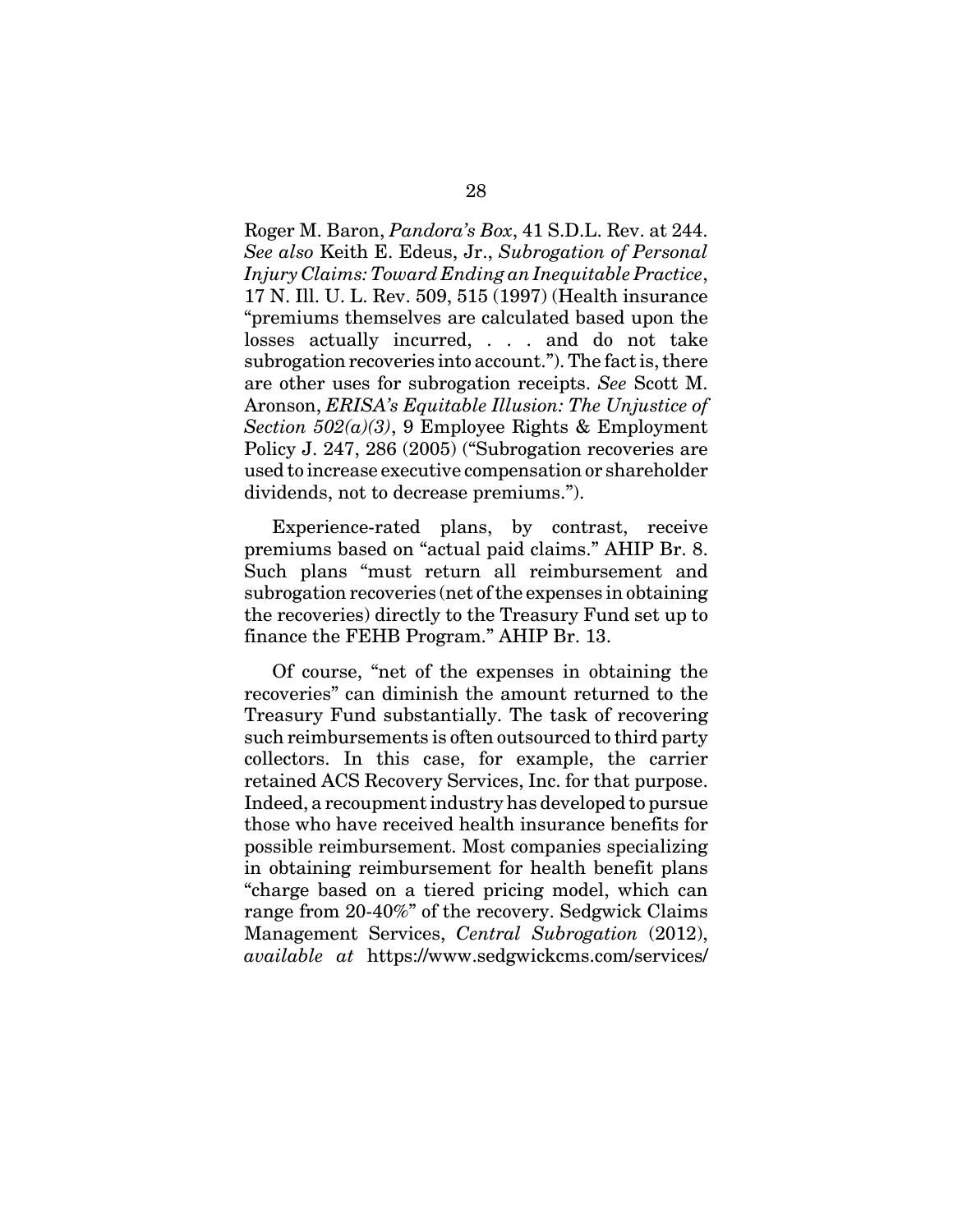Roger M. Baron, *Pandora's Box*, 41 S.D.L. Rev. at 244. *See also* Keith E. Edeus, Jr., *Subrogation of Personal Injury Claims: Toward Ending an Inequitable Practice*, 17 N. Ill. U. L. Rev. 509, 515 (1997) (Health insurance "premiums themselves are calculated based upon the losses actually incurred, . . . and do not take subrogation recoveries into account."). The fact is, there are other uses for subrogation receipts. *See* Scott M. Aronson, *ERISA's Equitable Illusion: The Unjustice of Section 502(a)(3)*, 9 Employee Rights & Employment Policy J. 247, 286 (2005) ("Subrogation recoveries are used to increase executive compensation or shareholder dividends, not to decrease premiums.").

Experience-rated plans, by contrast, receive premiums based on "actual paid claims." AHIP Br. 8. Such plans "must return all reimbursement and subrogation recoveries (net of the expenses in obtaining the recoveries) directly to the Treasury Fund set up to finance the FEHB Program." AHIP Br. 13.

Of course, "net of the expenses in obtaining the recoveries" can diminish the amount returned to the Treasury Fund substantially. The task of recovering such reimbursements is often outsourced to third party collectors. In this case, for example, the carrier retained ACS Recovery Services, Inc. for that purpose. Indeed, a recoupment industry has developed to pursue those who have received health insurance benefits for possible reimbursement. Most companies specializing in obtaining reimbursement for health benefit plans "charge based on a tiered pricing model, which can range from 20-40%" of the recovery. Sedgwick Claims Management Services, *Central Subrogation* (2012), *available at* https://www.sedgwickcms.com/services/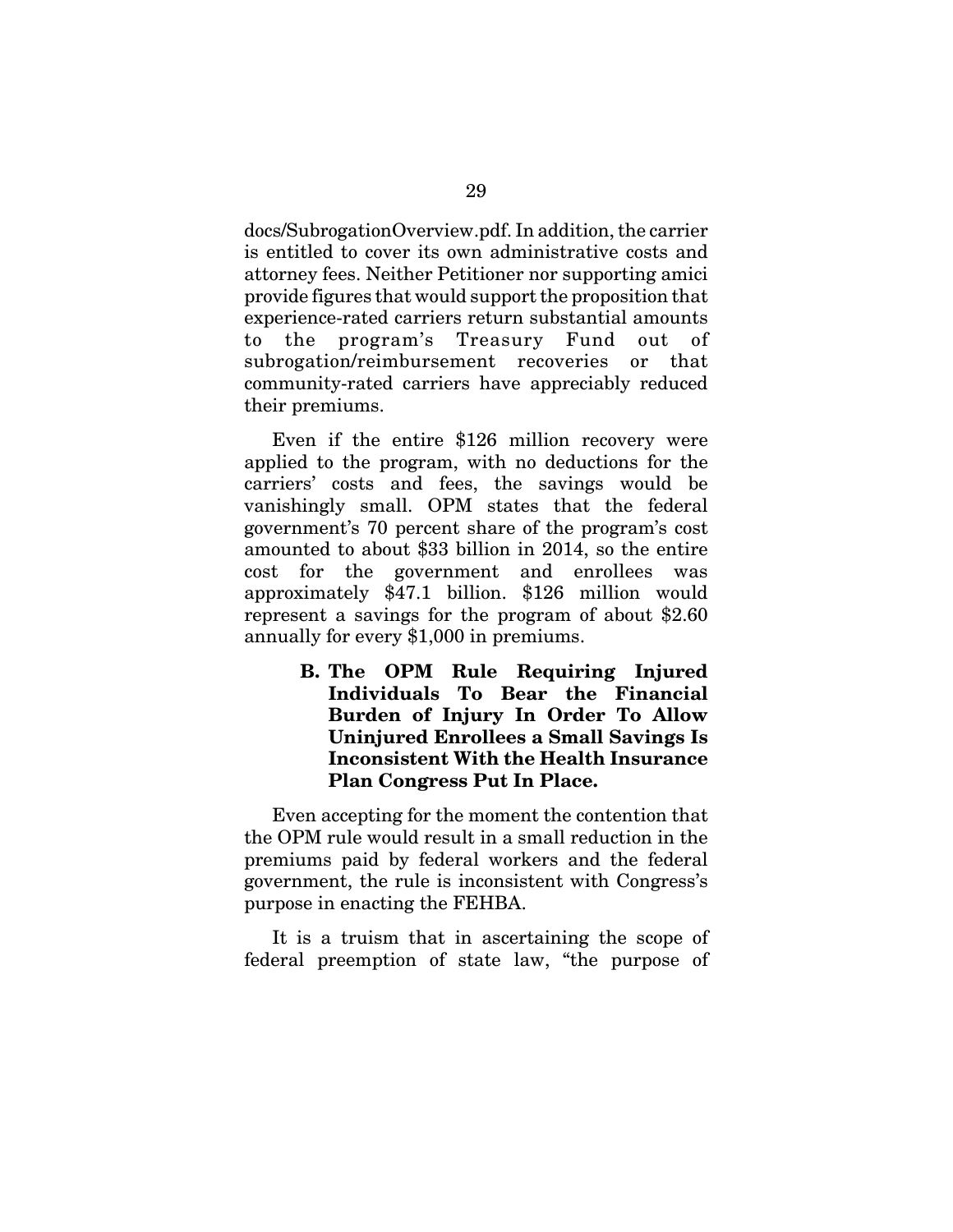docs/SubrogationOverview.pdf. In addition, the carrier is entitled to cover its own administrative costs and attorney fees. Neither Petitioner nor supporting amici provide figures that would support the proposition that experience-rated carriers return substantial amounts to the program's Treasury Fund out of subrogation/reimbursement recoveries or that community-rated carriers have appreciably reduced their premiums.

Even if the entire \$126 million recovery were applied to the program, with no deductions for the carriers' costs and fees, the savings would be vanishingly small. OPM states that the federal government's 70 percent share of the program's cost amounted to about \$33 billion in 2014, so the entire cost for the government and enrollees was approximately \$47.1 billion. \$126 million would represent a savings for the program of about \$2.60 annually for every \$1,000 in premiums.

> **B. The OPM Rule Requiring Injured Individuals To Bear the Financial Burden of Injury In Order To Allow Uninjured Enrollees a Small Savings Is Inconsistent With the Health Insurance Plan Congress Put In Place.**

Even accepting for the moment the contention that the OPM rule would result in a small reduction in the premiums paid by federal workers and the federal government, the rule is inconsistent with Congress's purpose in enacting the FEHBA.

It is a truism that in ascertaining the scope of federal preemption of state law, "the purpose of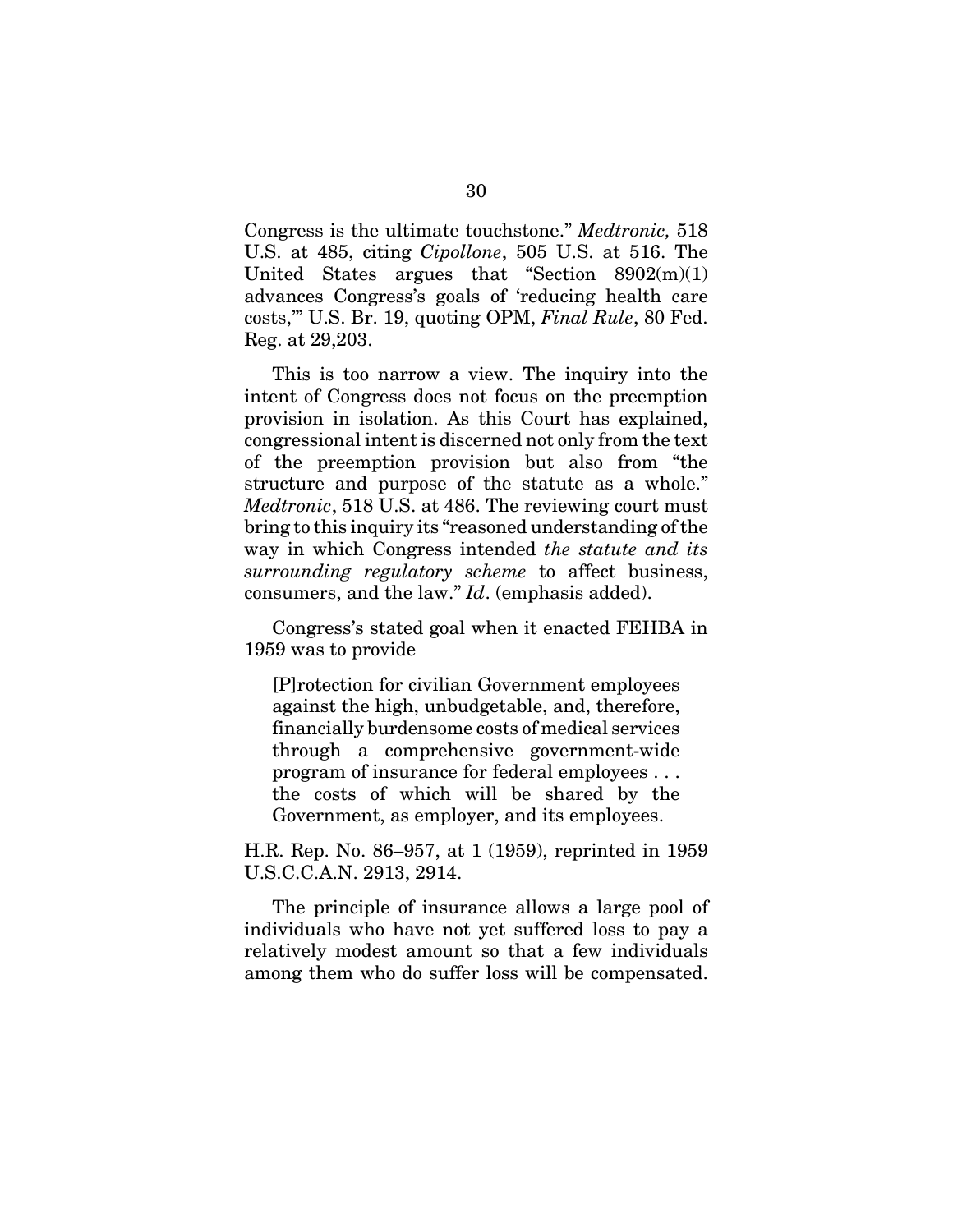Congress is the ultimate touchstone." *Medtronic,* 518 U.S. at 485, citing *Cipollone*, 505 U.S. at 516. The United States argues that "Section  $8902(m)(1)$ advances Congress's goals of 'reducing health care costs,'" U.S. Br. 19, quoting OPM, *Final Rule*, 80 Fed. Reg. at 29,203.

This is too narrow a view. The inquiry into the intent of Congress does not focus on the preemption provision in isolation. As this Court has explained, congressional intent is discerned not only from the text of the preemption provision but also from "the structure and purpose of the statute as a whole." *Medtronic*, 518 U.S. at 486. The reviewing court must bring to this inquiry its "reasoned understanding of the way in which Congress intended *the statute and its surrounding regulatory scheme* to affect business, consumers, and the law." *Id*. (emphasis added).

Congress's stated goal when it enacted FEHBA in 1959 was to provide

[P]rotection for civilian Government employees against the high, unbudgetable, and, therefore, financially burdensome costs of medical services through a comprehensive government-wide program of insurance for federal employees . . . the costs of which will be shared by the Government, as employer, and its employees.

H.R. Rep. No. 86–957, at 1 (1959), reprinted in 1959 U.S.C.C.A.N. 2913, 2914.

The principle of insurance allows a large pool of individuals who have not yet suffered loss to pay a relatively modest amount so that a few individuals among them who do suffer loss will be compensated.